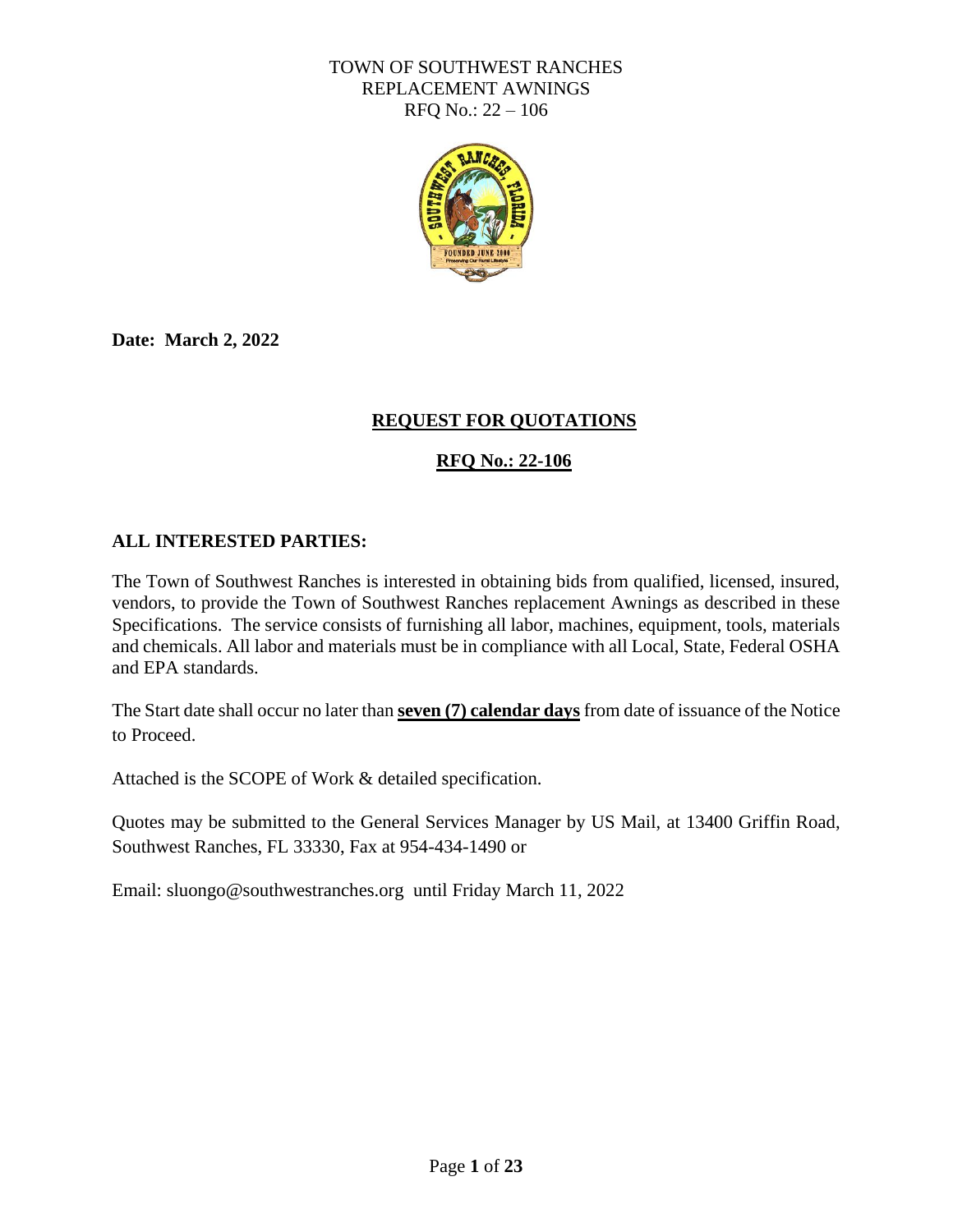

**Date: March 2, 2022**

#### **REQUEST FOR QUOTATIONS**

#### **RFQ No.: 22-106**

#### **ALL INTERESTED PARTIES:**

The Town of Southwest Ranches is interested in obtaining bids from qualified, licensed, insured, vendors, to provide the Town of Southwest Ranches replacement Awnings as described in these Specifications. The service consists of furnishing all labor, machines, equipment, tools, materials and chemicals. All labor and materials must be in compliance with all Local, State, Federal OSHA and EPA standards.

The Start date shall occur no later than **seven (7) calendar days** from date of issuance of the Notice to Proceed.

Attached is the SCOPE of Work & detailed specification.

Quotes may be submitted to the General Services Manager by US Mail, at 13400 Griffin Road, Southwest Ranches, FL 33330, Fax at 954-434-1490 or

Email: sluongo@southwestranches.org until Friday March 11, 2022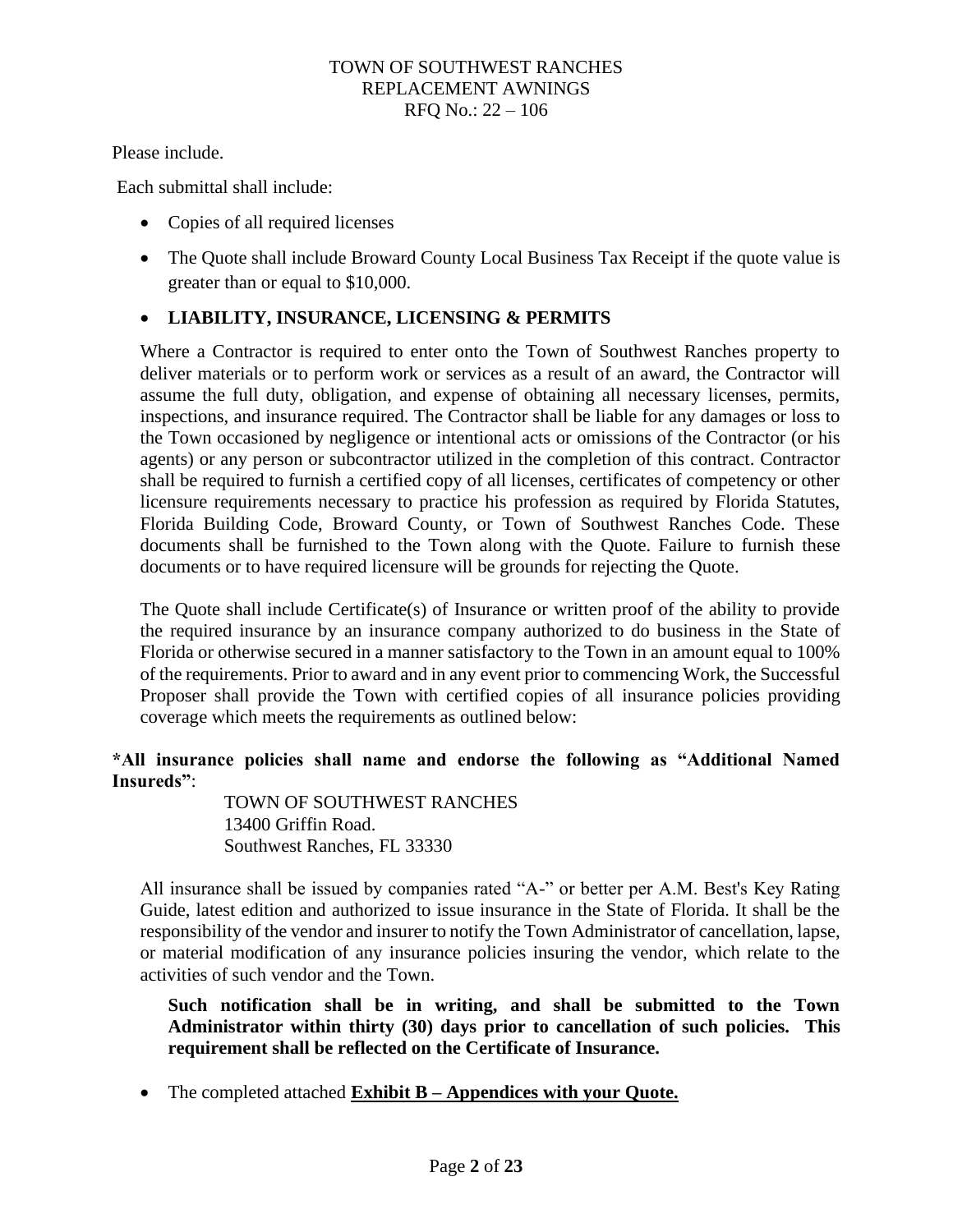Please include.

Each submittal shall include:

- Copies of all required licenses
- The Quote shall include Broward County Local Business Tax Receipt if the quote value is greater than or equal to \$10,000.

#### • **LIABILITY, INSURANCE, LICENSING & PERMITS**

Where a Contractor is required to enter onto the Town of Southwest Ranches property to deliver materials or to perform work or services as a result of an award, the Contractor will assume the full duty, obligation, and expense of obtaining all necessary licenses, permits, inspections, and insurance required. The Contractor shall be liable for any damages or loss to the Town occasioned by negligence or intentional acts or omissions of the Contractor (or his agents) or any person or subcontractor utilized in the completion of this contract. Contractor shall be required to furnish a certified copy of all licenses, certificates of competency or other licensure requirements necessary to practice his profession as required by Florida Statutes, Florida Building Code, Broward County, or Town of Southwest Ranches Code. These documents shall be furnished to the Town along with the Quote. Failure to furnish these documents or to have required licensure will be grounds for rejecting the Quote.

The Quote shall include Certificate(s) of Insurance or written proof of the ability to provide the required insurance by an insurance company authorized to do business in the State of Florida or otherwise secured in a manner satisfactory to the Town in an amount equal to 100% of the requirements. Prior to award and in any event prior to commencing Work, the Successful Proposer shall provide the Town with certified copies of all insurance policies providing coverage which meets the requirements as outlined below:

#### **\*All insurance policies shall name and endorse the following as "Additional Named Insureds"**:

TOWN OF SOUTHWEST RANCHES 13400 Griffin Road. Southwest Ranches, FL 33330

All insurance shall be issued by companies rated "A-" or better per A.M. Best's Key Rating Guide, latest edition and authorized to issue insurance in the State of Florida. It shall be the responsibility of the vendor and insurer to notify the Town Administrator of cancellation, lapse, or material modification of any insurance policies insuring the vendor, which relate to the activities of such vendor and the Town.

**Such notification shall be in writing, and shall be submitted to the Town Administrator within thirty (30) days prior to cancellation of such policies. This requirement shall be reflected on the Certificate of Insurance.**

• The completed attached **Exhibit B – Appendices with your Quote.**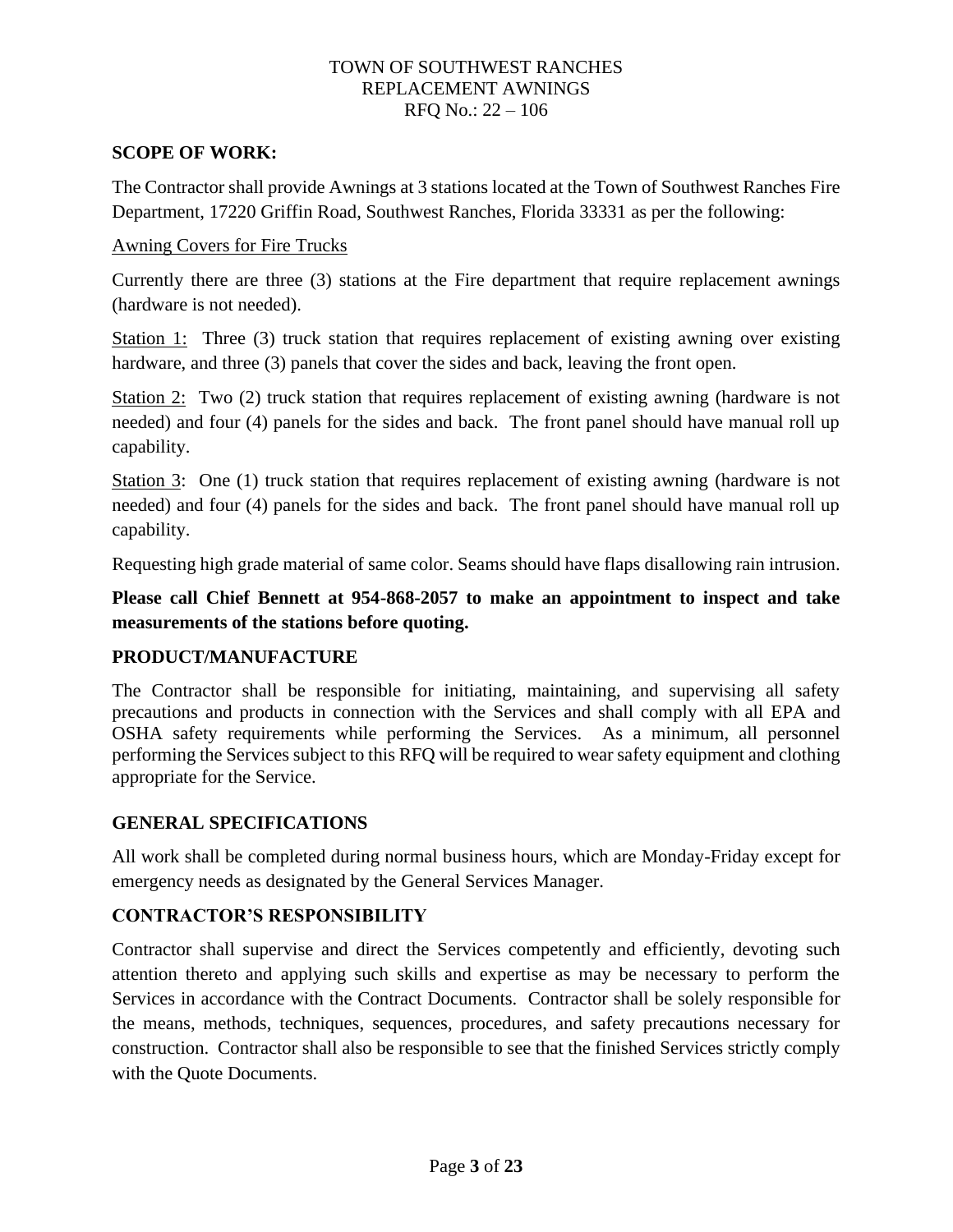#### **SCOPE OF WORK:**

The Contractor shall provide Awnings at 3 stations located at the Town of Southwest Ranches Fire Department, 17220 Griffin Road, Southwest Ranches, Florida 33331 as per the following:

#### Awning Covers for Fire Trucks

Currently there are three (3) stations at the Fire department that require replacement awnings (hardware is not needed).

Station 1: Three (3) truck station that requires replacement of existing awning over existing hardware, and three (3) panels that cover the sides and back, leaving the front open.

Station 2: Two (2) truck station that requires replacement of existing awning (hardware is not needed) and four (4) panels for the sides and back. The front panel should have manual roll up capability.

Station 3: One (1) truck station that requires replacement of existing awning (hardware is not needed) and four (4) panels for the sides and back. The front panel should have manual roll up capability.

Requesting high grade material of same color. Seams should have flaps disallowing rain intrusion.

#### **Please call Chief Bennett at 954-868-2057 to make an appointment to inspect and take measurements of the stations before quoting.**

#### **PRODUCT/MANUFACTURE**

The Contractor shall be responsible for initiating, maintaining, and supervising all safety precautions and products in connection with the Services and shall comply with all EPA and OSHA safety requirements while performing the Services. As a minimum, all personnel performing the Services subject to this RFQ will be required to wear safety equipment and clothing appropriate for the Service.

#### **GENERAL SPECIFICATIONS**

All work shall be completed during normal business hours, which are Monday-Friday except for emergency needs as designated by the General Services Manager.

#### **CONTRACTOR'S RESPONSIBILITY**

Contractor shall supervise and direct the Services competently and efficiently, devoting such attention thereto and applying such skills and expertise as may be necessary to perform the Services in accordance with the Contract Documents. Contractor shall be solely responsible for the means, methods, techniques, sequences, procedures, and safety precautions necessary for construction. Contractor shall also be responsible to see that the finished Services strictly comply with the Quote Documents.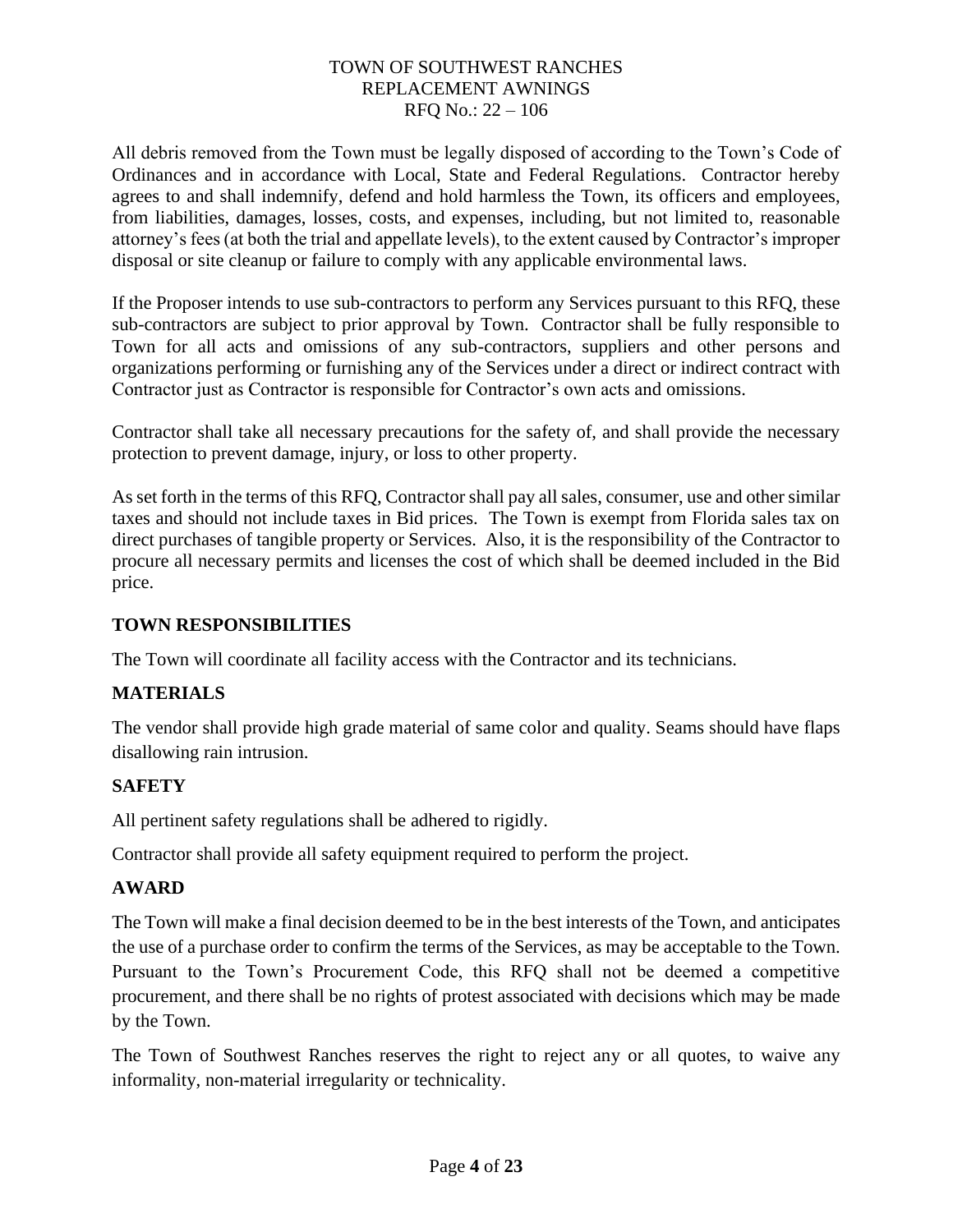All debris removed from the Town must be legally disposed of according to the Town's Code of Ordinances and in accordance with Local, State and Federal Regulations. Contractor hereby agrees to and shall indemnify, defend and hold harmless the Town, its officers and employees, from liabilities, damages, losses, costs, and expenses, including, but not limited to, reasonable attorney's fees (at both the trial and appellate levels), to the extent caused by Contractor's improper disposal or site cleanup or failure to comply with any applicable environmental laws.

If the Proposer intends to use sub-contractors to perform any Services pursuant to this RFQ, these sub-contractors are subject to prior approval by Town. Contractor shall be fully responsible to Town for all acts and omissions of any sub-contractors, suppliers and other persons and organizations performing or furnishing any of the Services under a direct or indirect contract with Contractor just as Contractor is responsible for Contractor's own acts and omissions.

Contractor shall take all necessary precautions for the safety of, and shall provide the necessary protection to prevent damage, injury, or loss to other property.

As set forth in the terms of this RFQ, Contractor shall pay all sales, consumer, use and other similar taxes and should not include taxes in Bid prices. The Town is exempt from Florida sales tax on direct purchases of tangible property or Services. Also, it is the responsibility of the Contractor to procure all necessary permits and licenses the cost of which shall be deemed included in the Bid price.

#### **TOWN RESPONSIBILITIES**

The Town will coordinate all facility access with the Contractor and its technicians.

#### **MATERIALS**

The vendor shall provide high grade material of same color and quality. Seams should have flaps disallowing rain intrusion.

#### **SAFETY**

All pertinent safety regulations shall be adhered to rigidly.

Contractor shall provide all safety equipment required to perform the project.

#### **AWARD**

The Town will make a final decision deemed to be in the best interests of the Town, and anticipates the use of a purchase order to confirm the terms of the Services, as may be acceptable to the Town. Pursuant to the Town's Procurement Code, this RFQ shall not be deemed a competitive procurement, and there shall be no rights of protest associated with decisions which may be made by the Town.

The Town of Southwest Ranches reserves the right to reject any or all quotes, to waive any informality, non-material irregularity or technicality.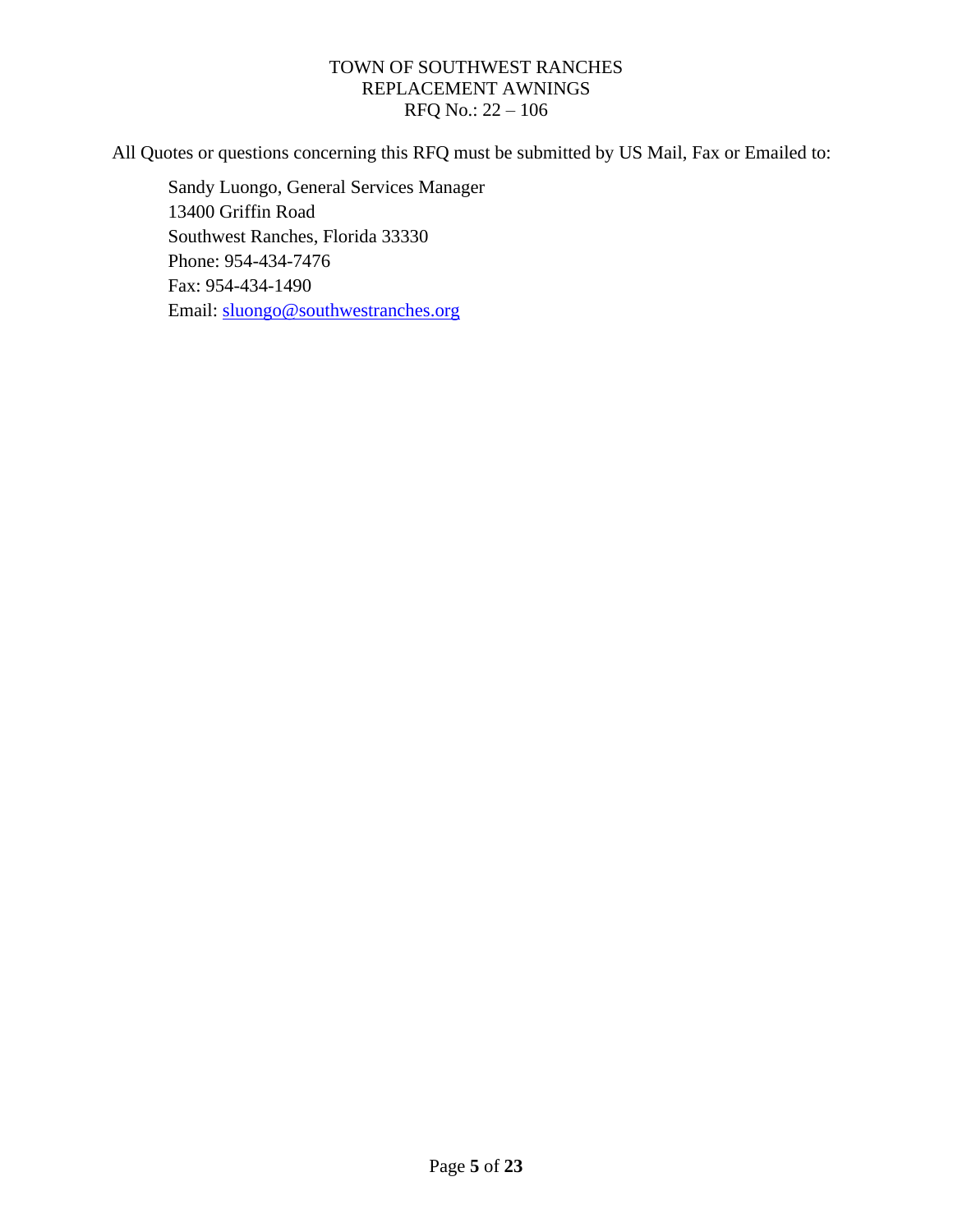All Quotes or questions concerning this RFQ must be submitted by US Mail, Fax or Emailed to:

Sandy Luongo, General Services Manager 13400 Griffin Road Southwest Ranches, Florida 33330 Phone: 954-434-7476 Fax: 954-434-1490 Email: [sluongo@southwestranches.org](mailto:sluongo@southwestranches.org)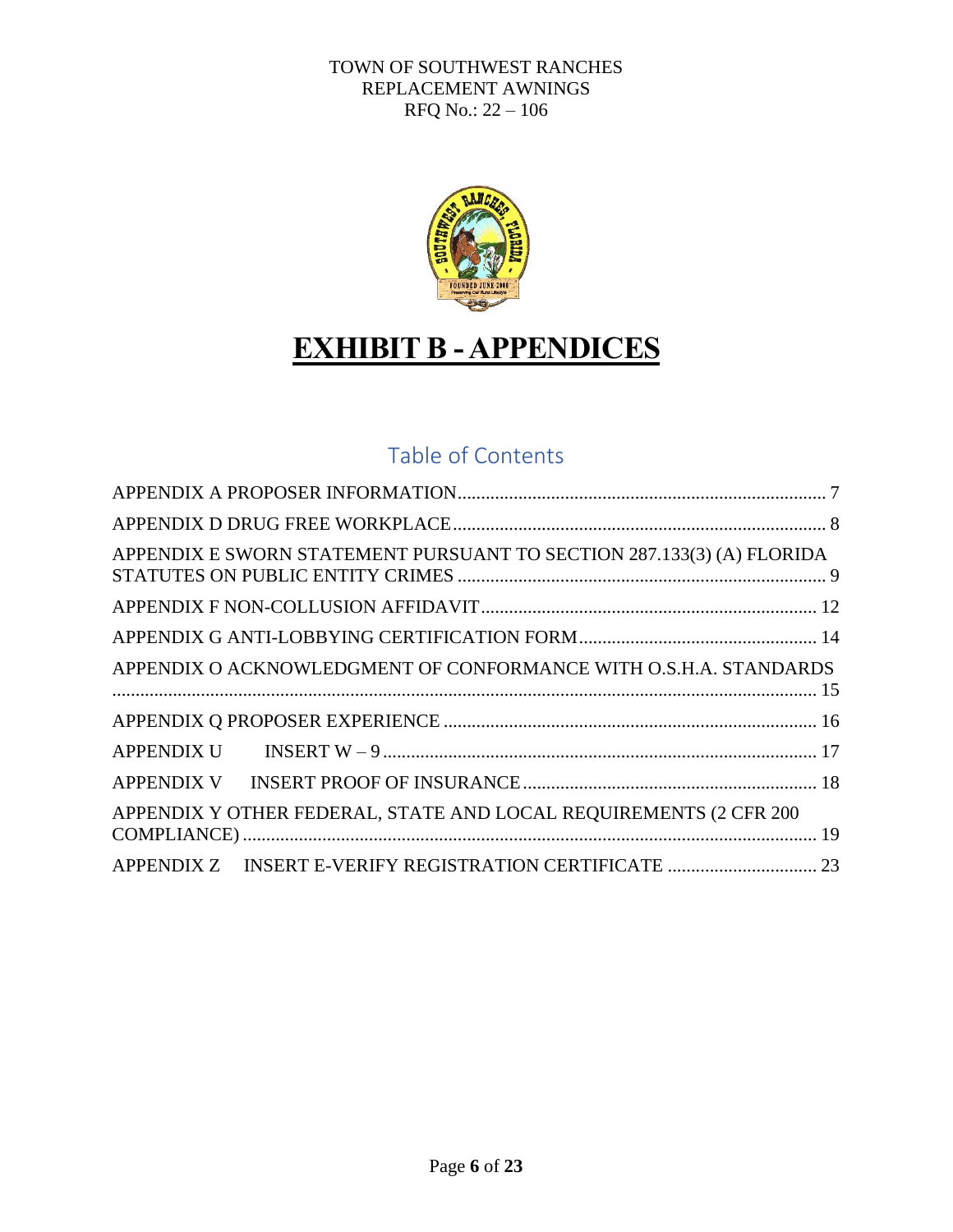

## **EXHIBIT B - APPENDICES**

## Table of Contents

| APPENDIX E SWORN STATEMENT PURSUANT TO SECTION 287.133(3) (A) FLORIDA |
|-----------------------------------------------------------------------|
|                                                                       |
|                                                                       |
| APPENDIX O ACKNOWLEDGMENT OF CONFORMANCE WITH O.S.H.A. STANDARDS      |
|                                                                       |
|                                                                       |
|                                                                       |
| APPENDIX Y OTHER FEDERAL, STATE AND LOCAL REQUIREMENTS (2 CFR 200)    |
|                                                                       |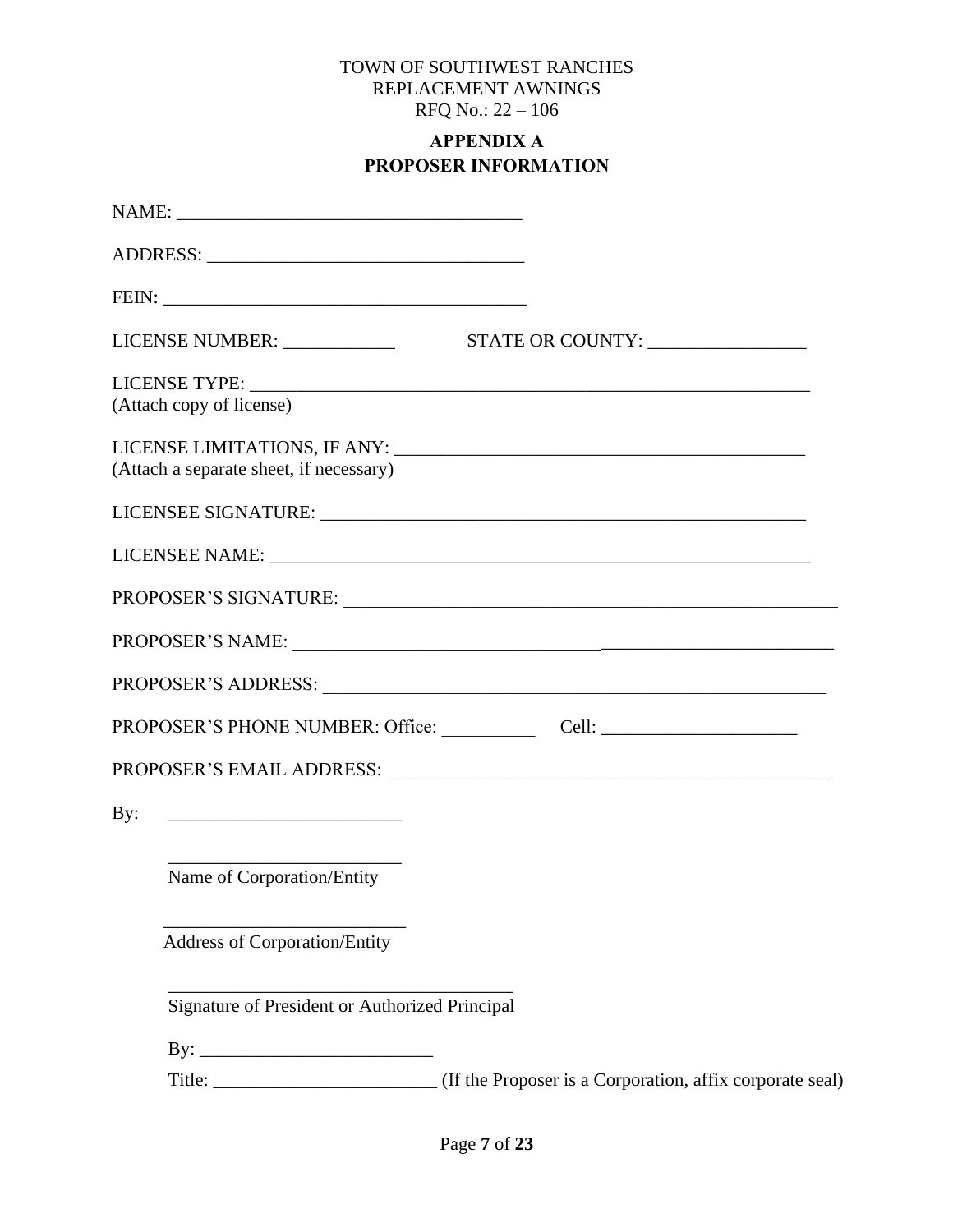## **APPENDIX A PROPOSER INFORMATION**

<span id="page-6-0"></span>

| (Attach copy of license)                |                                                |                                                                                    |
|-----------------------------------------|------------------------------------------------|------------------------------------------------------------------------------------|
| (Attach a separate sheet, if necessary) |                                                |                                                                                    |
|                                         |                                                |                                                                                    |
|                                         |                                                |                                                                                    |
|                                         |                                                |                                                                                    |
|                                         |                                                | PROPOSER'S NAME:                                                                   |
|                                         |                                                |                                                                                    |
|                                         |                                                | PROPOSER'S PHONE NUMBER: Office: Cell: Cell: Cell: Cell: Cell: Cell: Cell: Cell: C |
|                                         |                                                |                                                                                    |
| $\mathbf{By:}$                          |                                                |                                                                                    |
|                                         | Name of Corporation/Entity                     |                                                                                    |
|                                         | <b>Address of Corporation/Entity</b>           |                                                                                    |
|                                         | Signature of President or Authorized Principal |                                                                                    |
|                                         |                                                |                                                                                    |
|                                         |                                                |                                                                                    |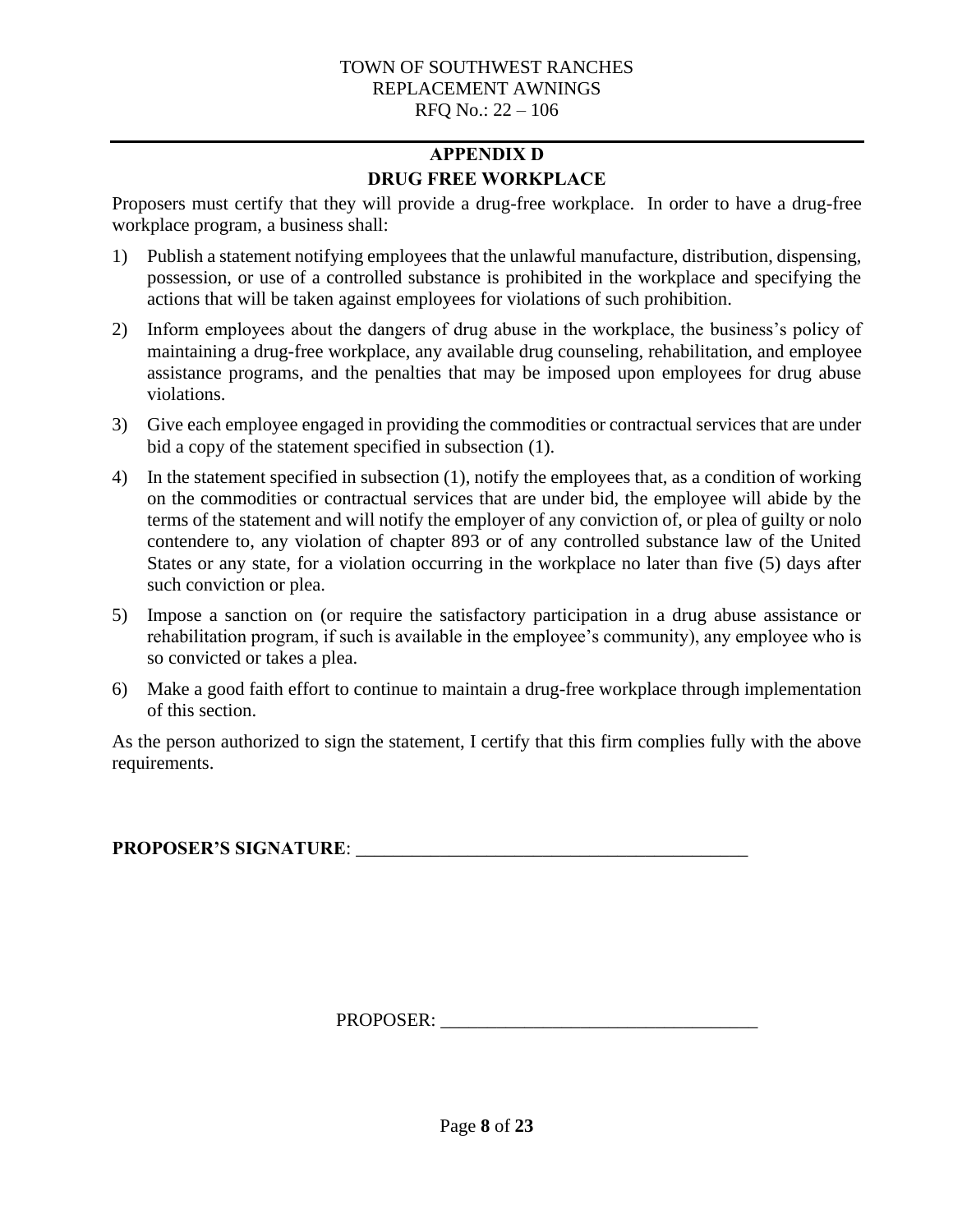## **APPENDIX D DRUG FREE WORKPLACE**

<span id="page-7-0"></span>Proposers must certify that they will provide a drug-free workplace. In order to have a drug-free workplace program, a business shall:

- 1) Publish a statement notifying employees that the unlawful manufacture, distribution, dispensing, possession, or use of a controlled substance is prohibited in the workplace and specifying the actions that will be taken against employees for violations of such prohibition.
- 2) Inform employees about the dangers of drug abuse in the workplace, the business's policy of maintaining a drug-free workplace, any available drug counseling, rehabilitation, and employee assistance programs, and the penalties that may be imposed upon employees for drug abuse violations.
- 3) Give each employee engaged in providing the commodities or contractual services that are under bid a copy of the statement specified in subsection (1).
- 4) In the statement specified in subsection (1), notify the employees that, as a condition of working on the commodities or contractual services that are under bid, the employee will abide by the terms of the statement and will notify the employer of any conviction of, or plea of guilty or nolo contendere to, any violation of chapter 893 or of any controlled substance law of the United States or any state, for a violation occurring in the workplace no later than five (5) days after such conviction or plea.
- 5) Impose a sanction on (or require the satisfactory participation in a drug abuse assistance or rehabilitation program, if such is available in the employee's community), any employee who is so convicted or takes a plea.
- 6) Make a good faith effort to continue to maintain a drug-free workplace through implementation of this section.

As the person authorized to sign the statement, I certify that this firm complies fully with the above requirements.

**PROPOSER'S SIGNATURE**: \_\_\_\_\_\_\_\_\_\_\_\_\_\_\_\_\_\_\_\_\_\_\_\_\_\_\_\_\_\_\_\_\_\_\_\_\_\_\_\_\_\_

PROPOSER: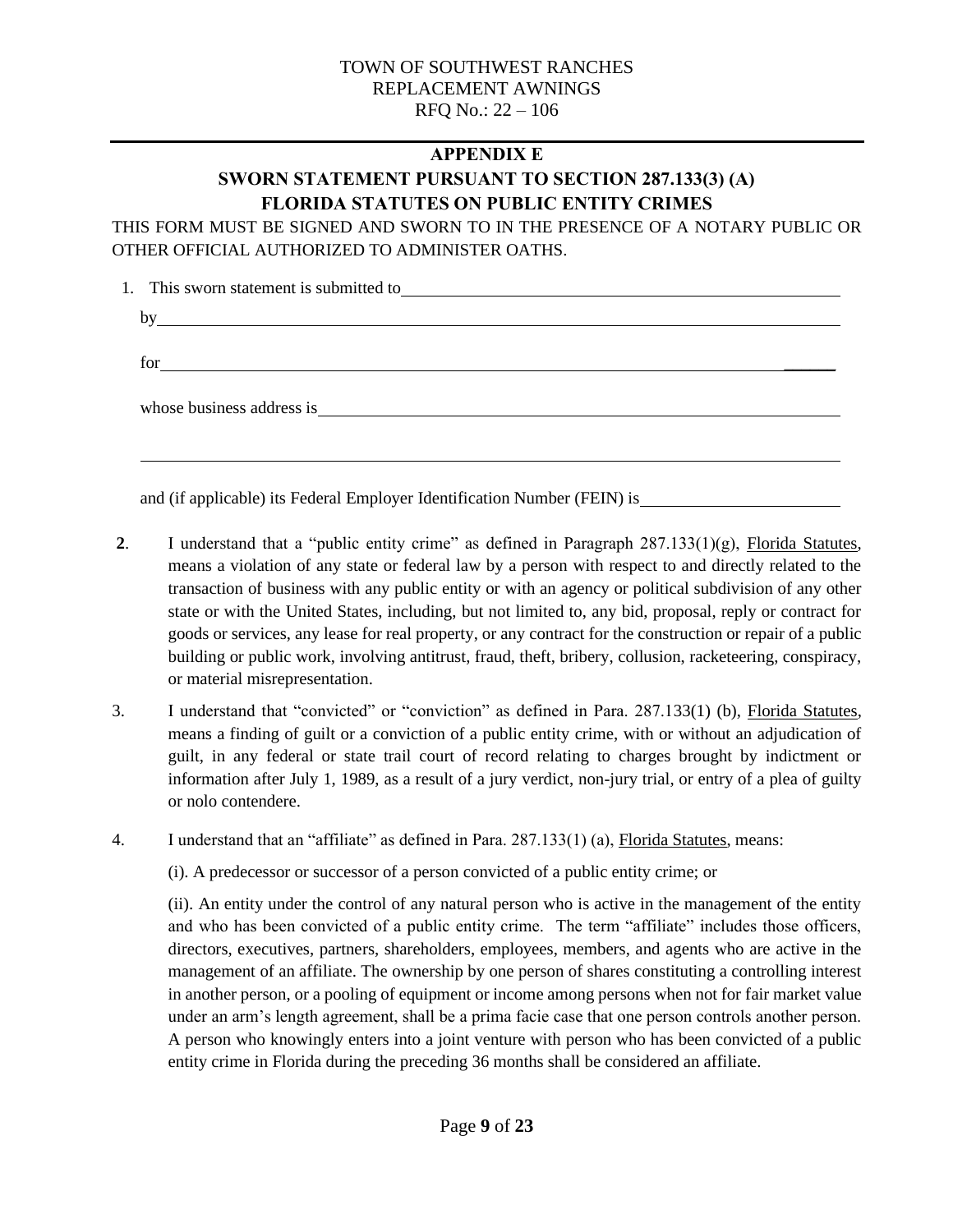#### **APPENDIX E**

## **SWORN STATEMENT PURSUANT TO SECTION 287.133(3) (A) FLORIDA STATUTES ON PUBLIC ENTITY CRIMES**

<span id="page-8-0"></span>THIS FORM MUST BE SIGNED AND SWORN TO IN THE PRESENCE OF A NOTARY PUBLIC OR OTHER OFFICIAL AUTHORIZED TO ADMINISTER OATHS.

| bv | <u> 1989 - Johann Stoff, deutscher Stoffen und der Stoffen und der Stoffen und der Stoffen und der Stoffen und d</u> |
|----|----------------------------------------------------------------------------------------------------------------------|
|    | for                                                                                                                  |
|    |                                                                                                                      |
|    |                                                                                                                      |
|    |                                                                                                                      |

**2**. I understand that a "public entity crime" as defined in Paragraph 287.133(1)(g), Florida Statutes, means a violation of any state or federal law by a person with respect to and directly related to the transaction of business with any public entity or with an agency or political subdivision of any other state or with the United States, including, but not limited to, any bid, proposal, reply or contract for goods or services, any lease for real property, or any contract for the construction or repair of a public building or public work, involving antitrust, fraud, theft, bribery, collusion, racketeering, conspiracy,

and (if applicable) its Federal Employer Identification Number (FEIN) is

or material misrepresentation.

- 3. I understand that "convicted" or "conviction" as defined in Para. 287.133(1) (b), Florida Statutes, means a finding of guilt or a conviction of a public entity crime, with or without an adjudication of guilt, in any federal or state trail court of record relating to charges brought by indictment or information after July 1, 1989, as a result of a jury verdict, non-jury trial, or entry of a plea of guilty or nolo contendere.
- 4. I understand that an "affiliate" as defined in Para. 287.133(1) (a), Florida Statutes, means:

(i). A predecessor or successor of a person convicted of a public entity crime; or

(ii). An entity under the control of any natural person who is active in the management of the entity and who has been convicted of a public entity crime. The term "affiliate" includes those officers, directors, executives, partners, shareholders, employees, members, and agents who are active in the management of an affiliate. The ownership by one person of shares constituting a controlling interest in another person, or a pooling of equipment or income among persons when not for fair market value under an arm's length agreement, shall be a prima facie case that one person controls another person. A person who knowingly enters into a joint venture with person who has been convicted of a public entity crime in Florida during the preceding 36 months shall be considered an affiliate.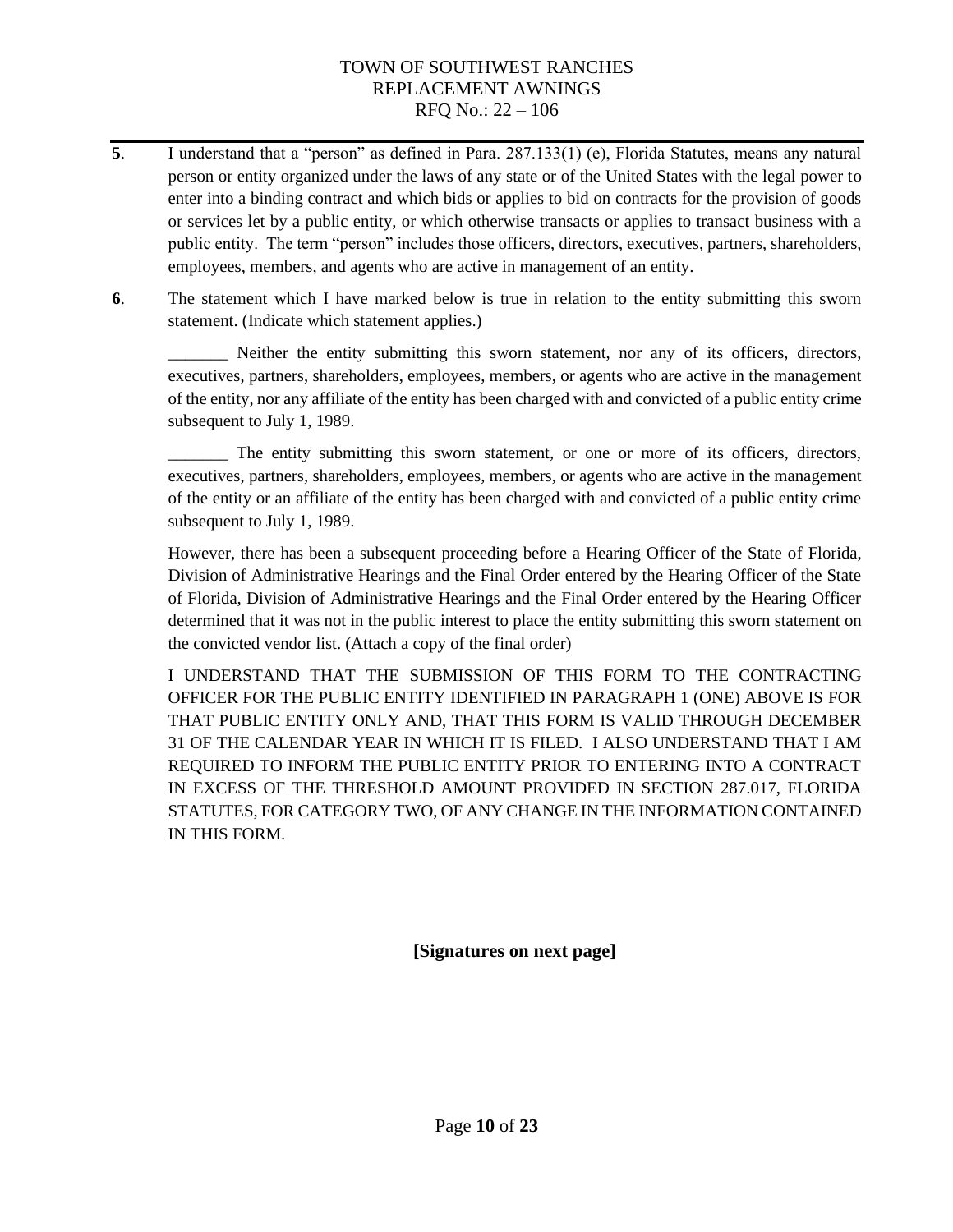- **5**. I understand that a "person" as defined in Para. 287.133(1) (e), Florida Statutes, means any natural person or entity organized under the laws of any state or of the United States with the legal power to enter into a binding contract and which bids or applies to bid on contracts for the provision of goods or services let by a public entity, or which otherwise transacts or applies to transact business with a public entity. The term "person" includes those officers, directors, executives, partners, shareholders, employees, members, and agents who are active in management of an entity.
- **6**. The statement which I have marked below is true in relation to the entity submitting this sworn statement. (Indicate which statement applies.)

\_\_\_\_\_\_\_ Neither the entity submitting this sworn statement, nor any of its officers, directors, executives, partners, shareholders, employees, members, or agents who are active in the management of the entity, nor any affiliate of the entity has been charged with and convicted of a public entity crime subsequent to July 1, 1989.

\_\_\_\_\_\_\_ The entity submitting this sworn statement, or one or more of its officers, directors, executives, partners, shareholders, employees, members, or agents who are active in the management of the entity or an affiliate of the entity has been charged with and convicted of a public entity crime subsequent to July 1, 1989.

However, there has been a subsequent proceeding before a Hearing Officer of the State of Florida, Division of Administrative Hearings and the Final Order entered by the Hearing Officer of the State of Florida, Division of Administrative Hearings and the Final Order entered by the Hearing Officer determined that it was not in the public interest to place the entity submitting this sworn statement on the convicted vendor list. (Attach a copy of the final order)

I UNDERSTAND THAT THE SUBMISSION OF THIS FORM TO THE CONTRACTING OFFICER FOR THE PUBLIC ENTITY IDENTIFIED IN PARAGRAPH 1 (ONE) ABOVE IS FOR THAT PUBLIC ENTITY ONLY AND, THAT THIS FORM IS VALID THROUGH DECEMBER 31 OF THE CALENDAR YEAR IN WHICH IT IS FILED. I ALSO UNDERSTAND THAT I AM REQUIRED TO INFORM THE PUBLIC ENTITY PRIOR TO ENTERING INTO A CONTRACT IN EXCESS OF THE THRESHOLD AMOUNT PROVIDED IN SECTION 287.017, FLORIDA STATUTES, FOR CATEGORY TWO, OF ANY CHANGE IN THE INFORMATION CONTAINED IN THIS FORM.

**[Signatures on next page]**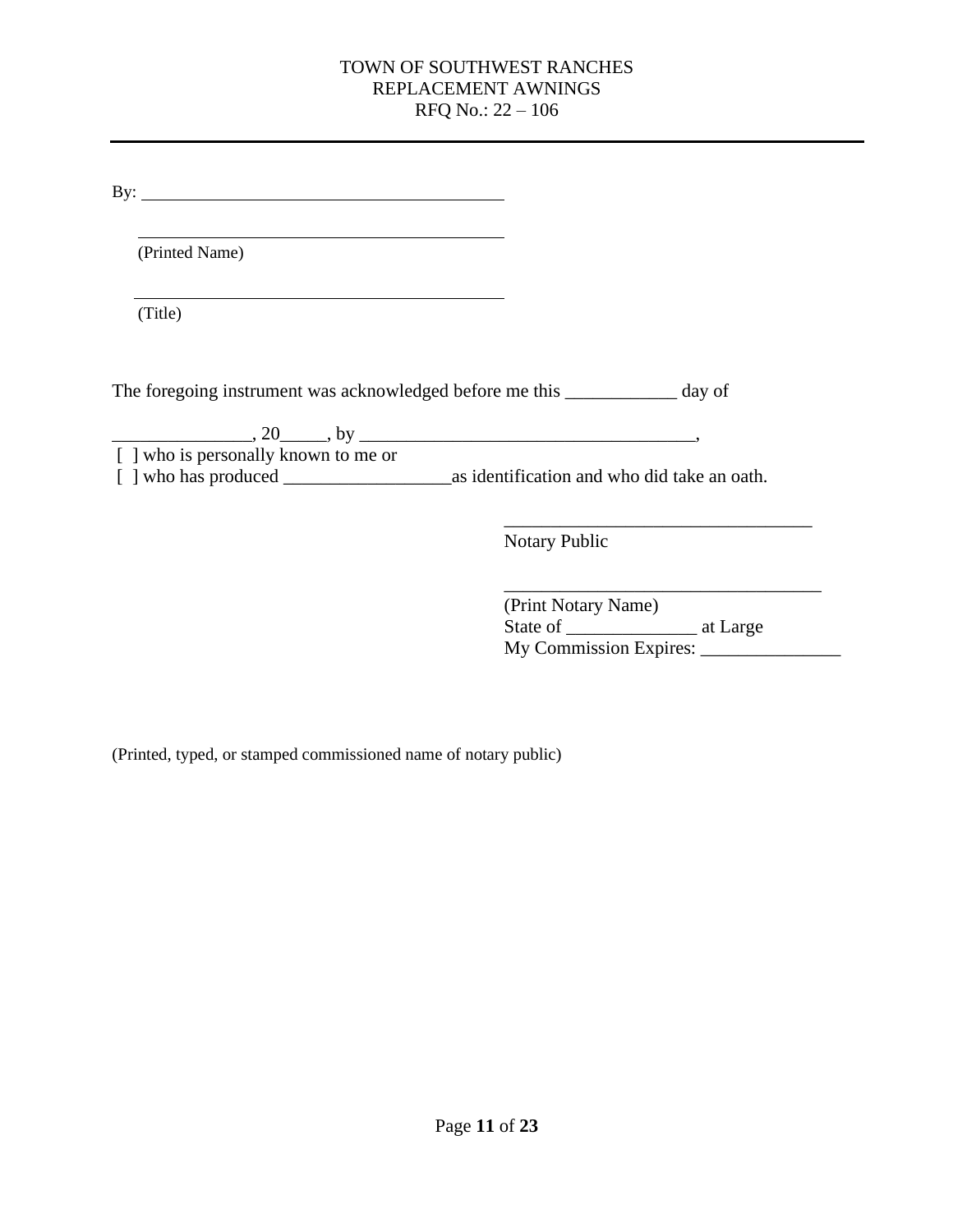By:

(Printed Name)

(Title)

The foregoing instrument was acknowledged before me this \_\_\_\_\_\_\_\_\_\_\_\_ day of

 $20 \qquad \qquad$ , 20  $\qquad \qquad$ , by  $\qquad \qquad$ , [ ] who is personally known to me or [ ] who has produced \_\_\_\_\_\_\_\_\_\_\_\_\_\_\_\_\_\_as identification and who did take an oath.

> \_\_\_\_\_\_\_\_\_\_\_\_\_\_\_\_\_\_\_\_\_\_\_\_\_\_\_\_\_\_\_\_\_ Notary Public

| (Print Notary Name)    |          |
|------------------------|----------|
| State of               | at Large |
| My Commission Expires: |          |

(Printed, typed, or stamped commissioned name of notary public)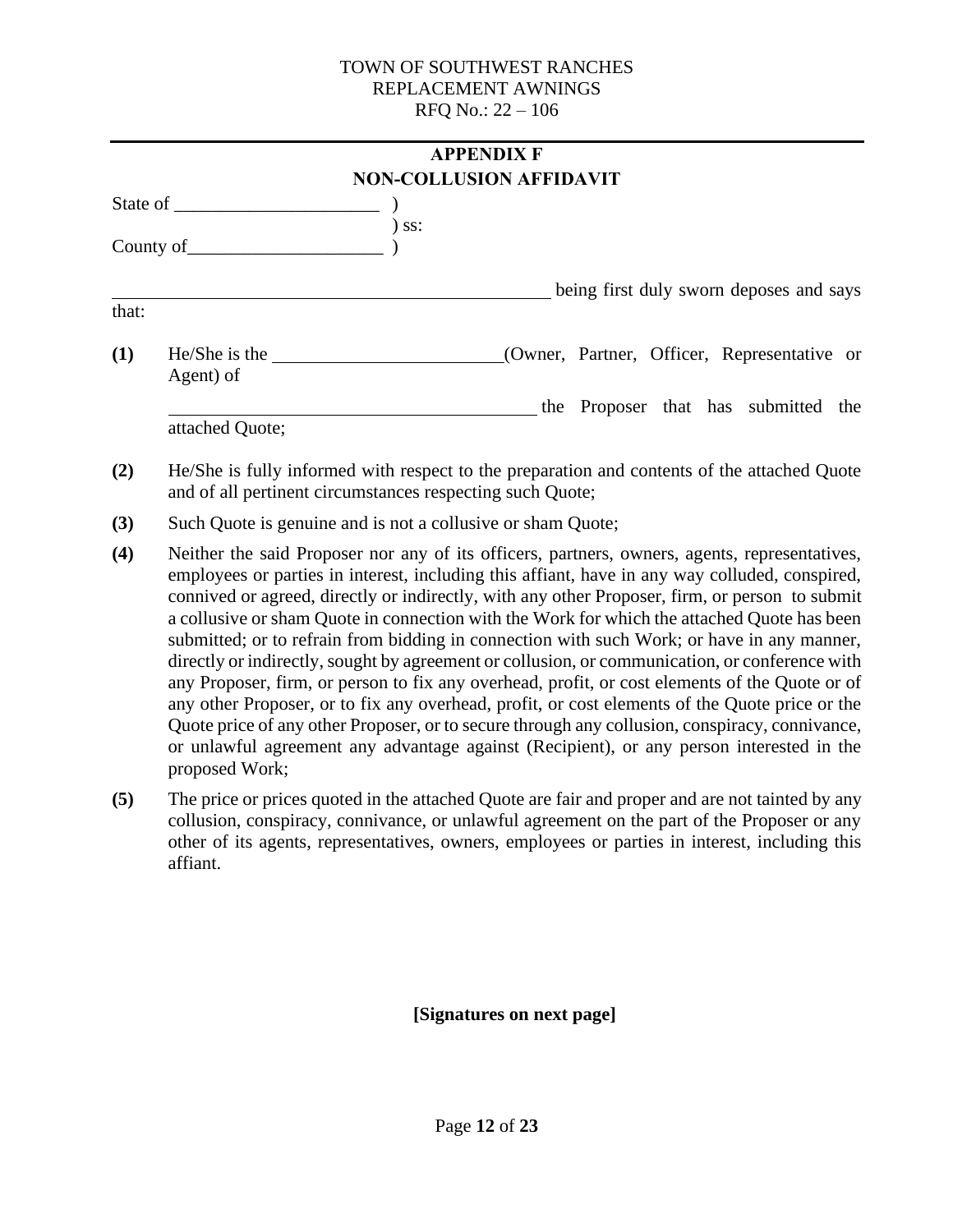<span id="page-11-0"></span>

|       |                                                       |         | <b>APPENDIX F</b>                           |
|-------|-------------------------------------------------------|---------|---------------------------------------------|
|       |                                                       |         | <b>NON-COLLUSION AFFIDAVIT</b>              |
|       |                                                       |         |                                             |
|       | County of                                             | $)$ ss: |                                             |
|       |                                                       |         | being first duly sworn deposes and says     |
| that: |                                                       |         |                                             |
| (1)   | $He/She$ is the $\overline{\phantom{a}}$<br>Agent) of |         | (Owner, Partner, Officer, Representative or |
|       |                                                       |         | the Proposer that has submitted the         |
|       | attached Quote;                                       |         |                                             |

- **(2)** He/She is fully informed with respect to the preparation and contents of the attached Quote and of all pertinent circumstances respecting such Quote;
- **(3)** Such Quote is genuine and is not a collusive or sham Quote;
- **(4)** Neither the said Proposer nor any of its officers, partners, owners, agents, representatives, employees or parties in interest, including this affiant, have in any way colluded, conspired, connived or agreed, directly or indirectly, with any other Proposer, firm, or person to submit a collusive or sham Quote in connection with the Work for which the attached Quote has been submitted; or to refrain from bidding in connection with such Work; or have in any manner, directly or indirectly, sought by agreement or collusion, or communication, or conference with any Proposer, firm, or person to fix any overhead, profit, or cost elements of the Quote or of any other Proposer, or to fix any overhead, profit, or cost elements of the Quote price or the Quote price of any other Proposer, or to secure through any collusion, conspiracy, connivance, or unlawful agreement any advantage against (Recipient), or any person interested in the proposed Work;
- **(5)** The price or prices quoted in the attached Quote are fair and proper and are not tainted by any collusion, conspiracy, connivance, or unlawful agreement on the part of the Proposer or any other of its agents, representatives, owners, employees or parties in interest, including this affiant.

**[Signatures on next page]**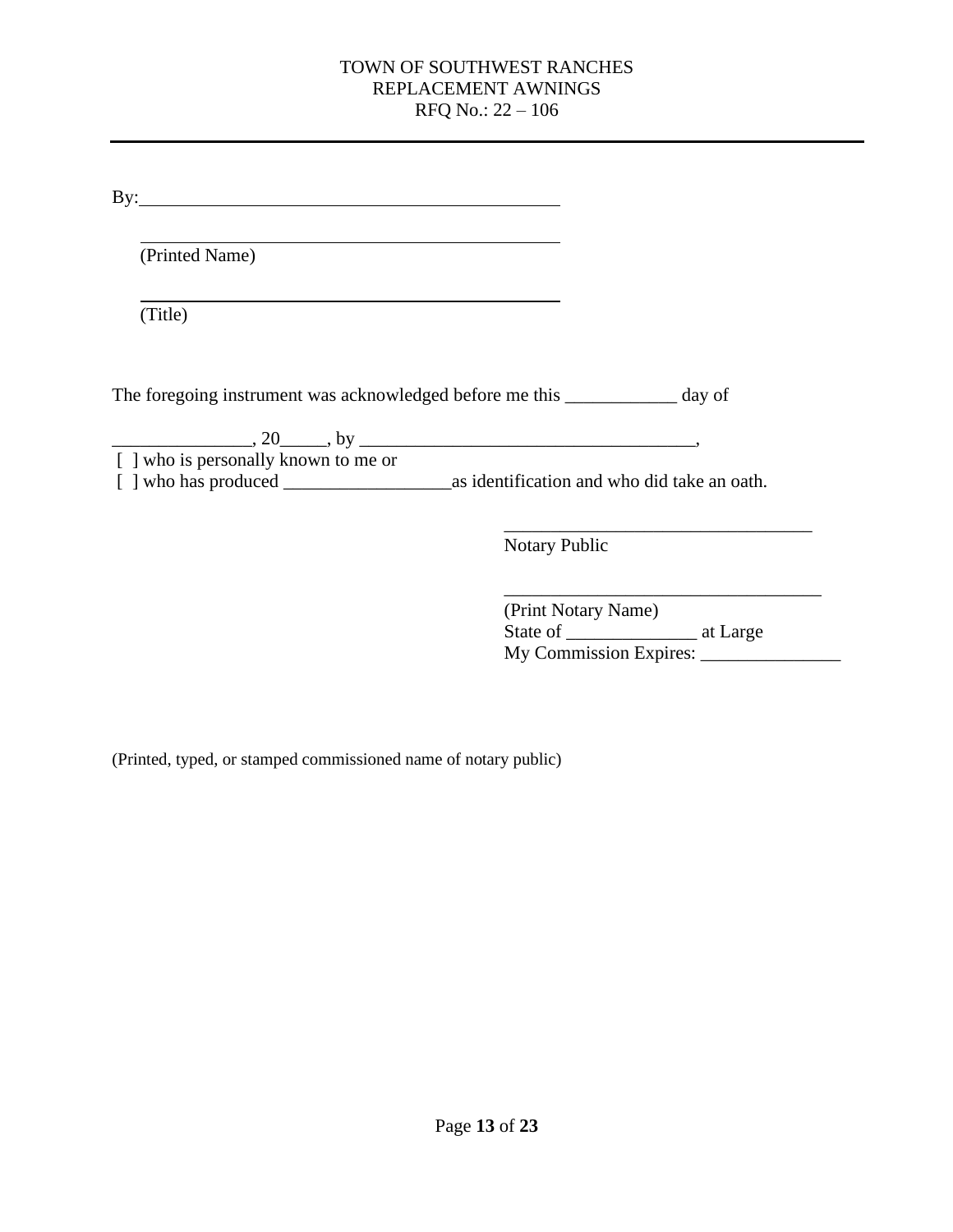| (Printed Name)                       |                                                                              |
|--------------------------------------|------------------------------------------------------------------------------|
|                                      |                                                                              |
| (Title)                              |                                                                              |
|                                      |                                                                              |
|                                      |                                                                              |
|                                      |                                                                              |
|                                      | The foregoing instrument was acknowledged before me this ____________ day of |
|                                      | $\frac{1}{20}$ , 20 and by $\frac{1}{20}$ , by $\frac{1}{20}$                |
| [ ] who is personally known to me or |                                                                              |
|                                      |                                                                              |

| (Print Notary Name)    |          |
|------------------------|----------|
| State of               | at Large |
| My Commission Expires: |          |

(Printed, typed, or stamped commissioned name of notary public)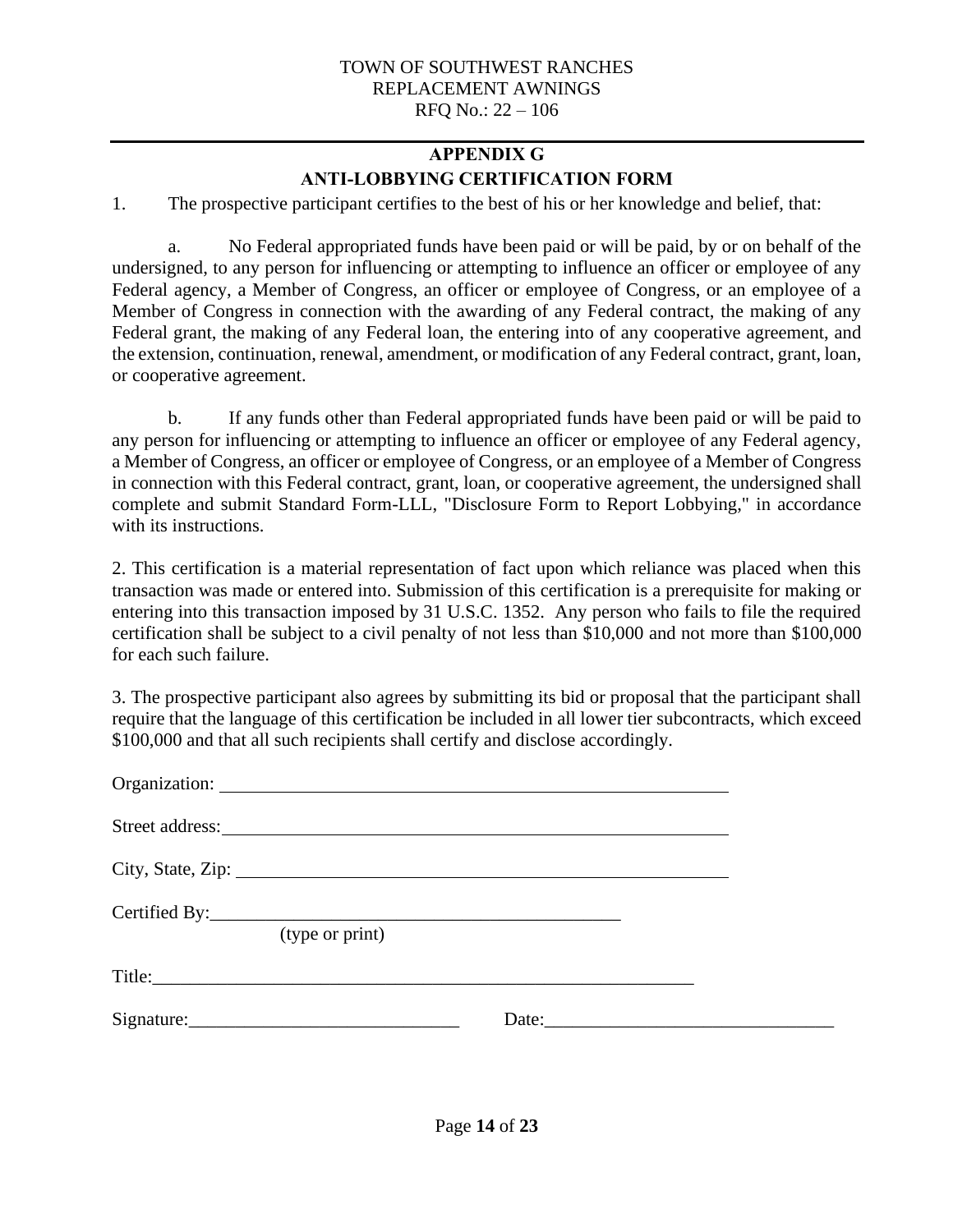## **APPENDIX G ANTI-LOBBYING CERTIFICATION FORM**

<span id="page-13-0"></span>1. The prospective participant certifies to the best of his or her knowledge and belief, that:

a. No Federal appropriated funds have been paid or will be paid, by or on behalf of the undersigned, to any person for influencing or attempting to influence an officer or employee of any Federal agency, a Member of Congress, an officer or employee of Congress, or an employee of a Member of Congress in connection with the awarding of any Federal contract, the making of any Federal grant, the making of any Federal loan, the entering into of any cooperative agreement, and the extension, continuation, renewal, amendment, or modification of any Federal contract, grant, loan, or cooperative agreement.

b. If any funds other than Federal appropriated funds have been paid or will be paid to any person for influencing or attempting to influence an officer or employee of any Federal agency, a Member of Congress, an officer or employee of Congress, or an employee of a Member of Congress in connection with this Federal contract, grant, loan, or cooperative agreement, the undersigned shall complete and submit Standard Form-LLL, "Disclosure Form to Report Lobbying," in accordance with its instructions.

2. This certification is a material representation of fact upon which reliance was placed when this transaction was made or entered into. Submission of this certification is a prerequisite for making or entering into this transaction imposed by 31 U.S.C. 1352. Any person who fails to file the required certification shall be subject to a civil penalty of not less than \$10,000 and not more than \$100,000 for each such failure.

3. The prospective participant also agrees by submitting its bid or proposal that the participant shall require that the language of this certification be included in all lower tier subcontracts, which exceed \$100,000 and that all such recipients shall certify and disclose accordingly.

| City, State, Zip: |            |  |
|-------------------|------------|--|
| (type or print)   |            |  |
|                   |            |  |
|                   | Date: 2008 |  |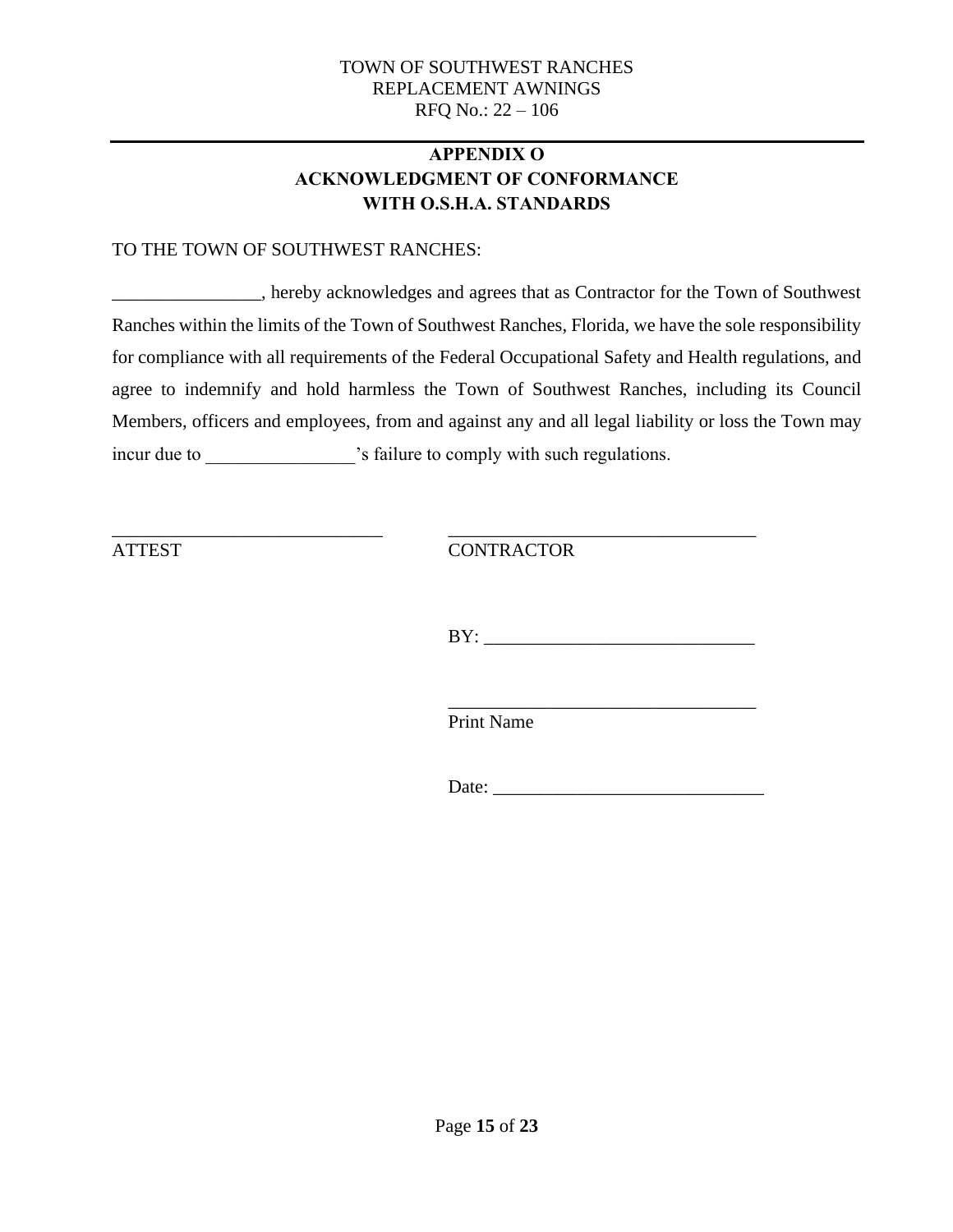## **APPENDIX O ACKNOWLEDGMENT OF CONFORMANCE WITH O.S.H.A. STANDARDS**

#### <span id="page-14-0"></span>TO THE TOWN OF SOUTHWEST RANCHES:

\_\_\_\_\_\_\_\_\_\_\_\_\_\_\_\_, hereby acknowledges and agrees that as Contractor for the Town of Southwest Ranches within the limits of the Town of Southwest Ranches, Florida, we have the sole responsibility for compliance with all requirements of the Federal Occupational Safety and Health regulations, and agree to indemnify and hold harmless the Town of Southwest Ranches, including its Council Members, officers and employees, from and against any and all legal liability or loss the Town may incur due to \_\_\_\_\_\_\_\_\_\_\_\_\_\_\_\_\_\_'s failure to comply with such regulations.

\_\_\_\_\_\_\_\_\_\_\_\_\_\_\_\_\_\_\_\_\_\_\_\_\_\_\_\_\_ \_\_\_\_\_\_\_\_\_\_\_\_\_\_\_\_\_\_\_\_\_\_\_\_\_\_\_\_\_\_\_\_\_ ATTEST CONTRACTOR

 $BY:$ 

\_\_\_\_\_\_\_\_\_\_\_\_\_\_\_\_\_\_\_\_\_\_\_\_\_\_\_\_\_\_\_\_\_ Print Name

Date: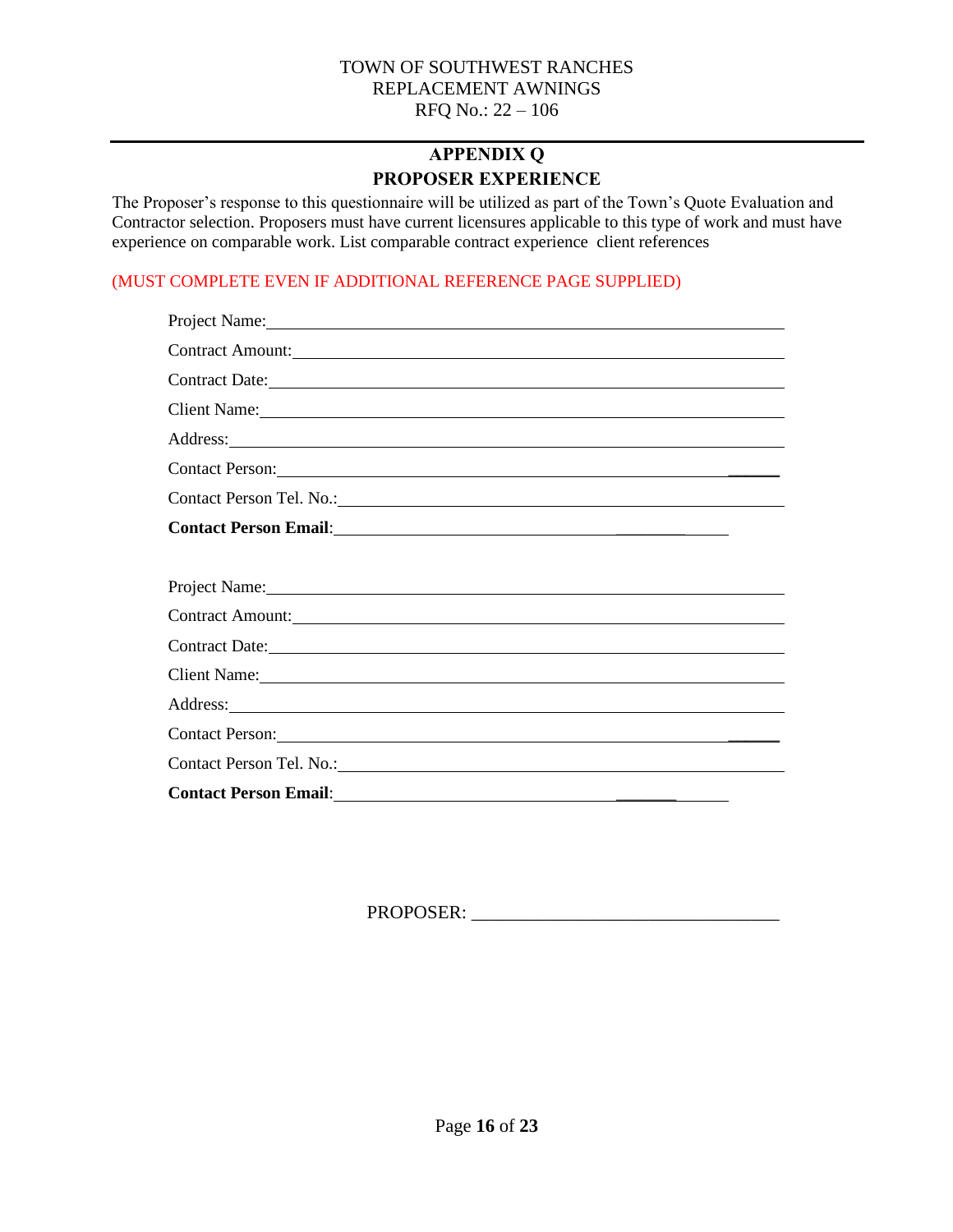## **APPENDIX Q PROPOSER EXPERIENCE**

<span id="page-15-0"></span>The Proposer's response to this questionnaire will be utilized as part of the Town's Quote Evaluation and Contractor selection. Proposers must have current licensures applicable to this type of work and must have experience on comparable work. List comparable contract experience client references

#### (MUST COMPLETE EVEN IF ADDITIONAL REFERENCE PAGE SUPPLIED)

| Project Name: Name and the set of the set of the set of the set of the set of the set of the set of the set of the set of the set of the set of the set of the set of the set of the set of the set of the set of the set of t |
|--------------------------------------------------------------------------------------------------------------------------------------------------------------------------------------------------------------------------------|
| Contract Amount:                                                                                                                                                                                                               |
| Contract Date: Note:                                                                                                                                                                                                           |
| Client Name: 1988                                                                                                                                                                                                              |
| Address: New York Contract to the Contract of the Contract of the Contract of the Contract of the Contract of the Contract of the Contract of the Contract of the Contract of the Contract of the Contract of the Contract of  |
| Contact Person: 2008. Contact Person:                                                                                                                                                                                          |
|                                                                                                                                                                                                                                |
|                                                                                                                                                                                                                                |
|                                                                                                                                                                                                                                |
| Project Name: 1000 million and the contract of the contract of the contract of the contract of the contract of the contract of the contract of the contract of the contract of the contract of the contract of the contract of |
| Contract Amount:                                                                                                                                                                                                               |
| Contract Date: <u>Contract Date:</u>                                                                                                                                                                                           |
| Client Name: Name:                                                                                                                                                                                                             |
| Address: National Address: National Address: National Address: National Address: National Address: National Address: National Address: National Address: National Address: National Address: National Address: National Addres |
| Contact Person: Note and the set of the set of the set of the set of the set of the set of the set of the set of the set of the set of the set of the set of the set of the set of the set of the set of the set of the set of |
|                                                                                                                                                                                                                                |
|                                                                                                                                                                                                                                |

PROPOSER: \_\_\_\_\_\_\_\_\_\_\_\_\_\_\_\_\_\_\_\_\_\_\_\_\_\_\_\_\_\_\_\_\_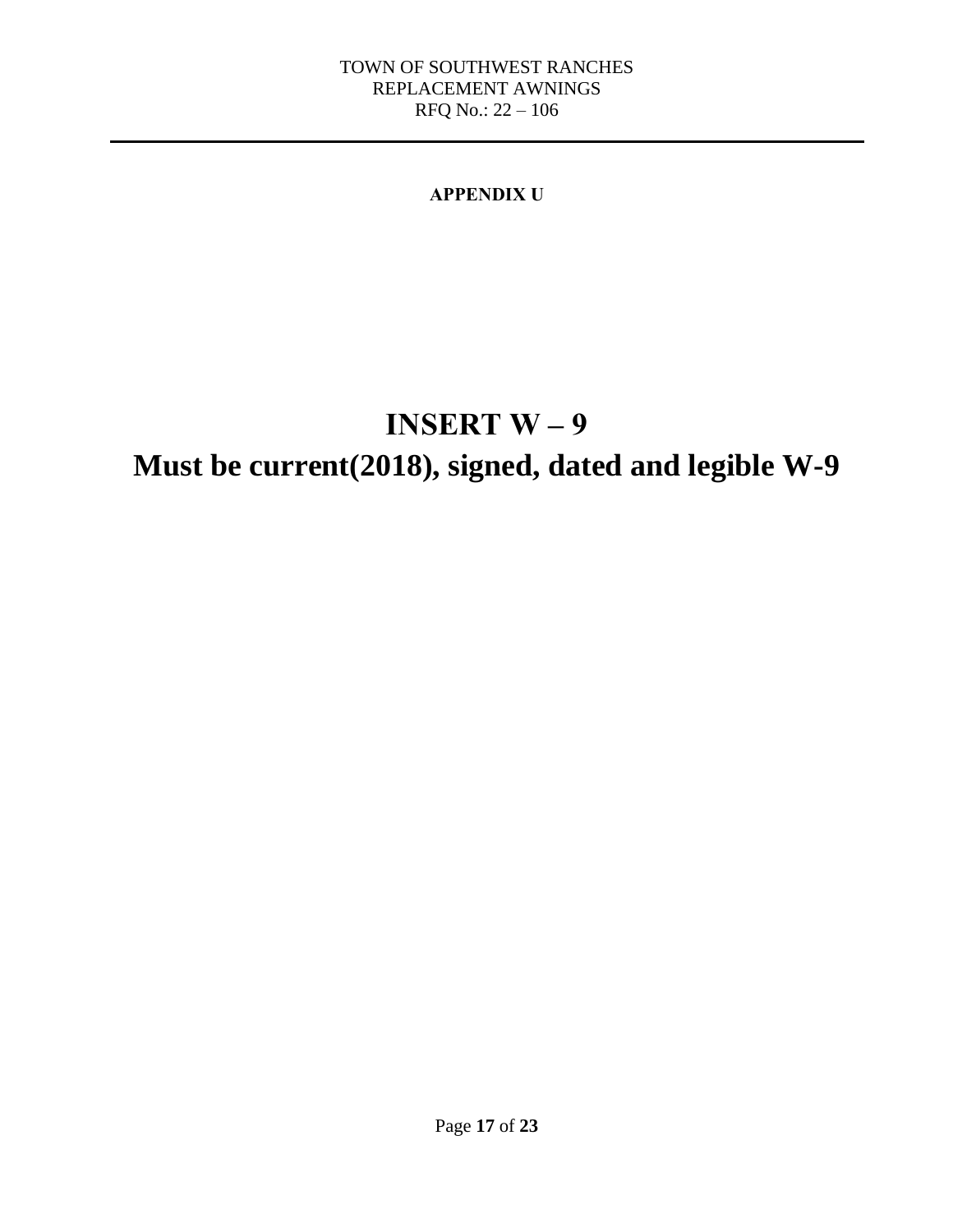## **APPENDIX U**

# **INSERT W – 9**

## <span id="page-16-0"></span>**Must be current(2018), signed, dated and legible W-9**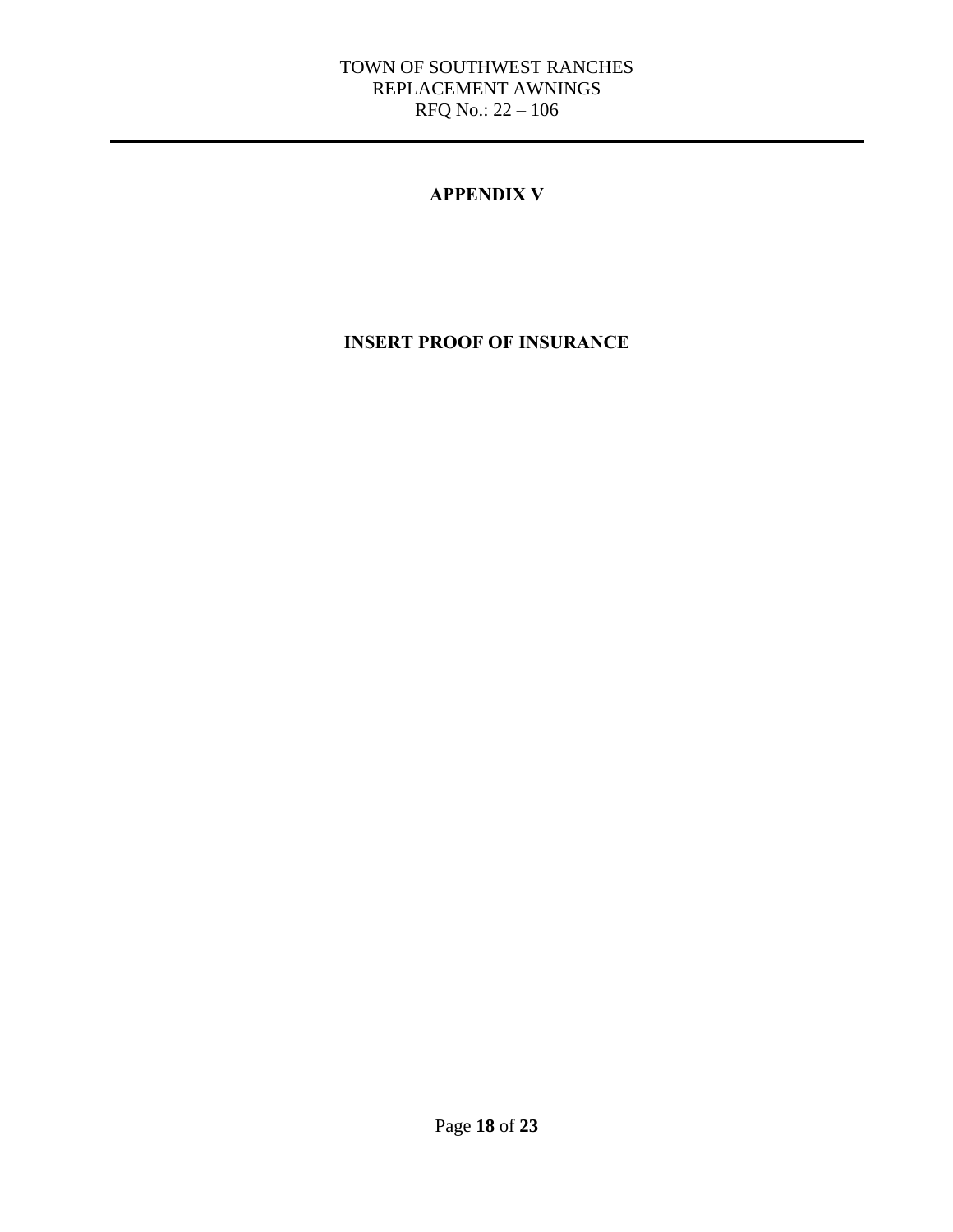#### **APPENDIX V**

## <span id="page-17-0"></span>**INSERT PROOF OF INSURANCE**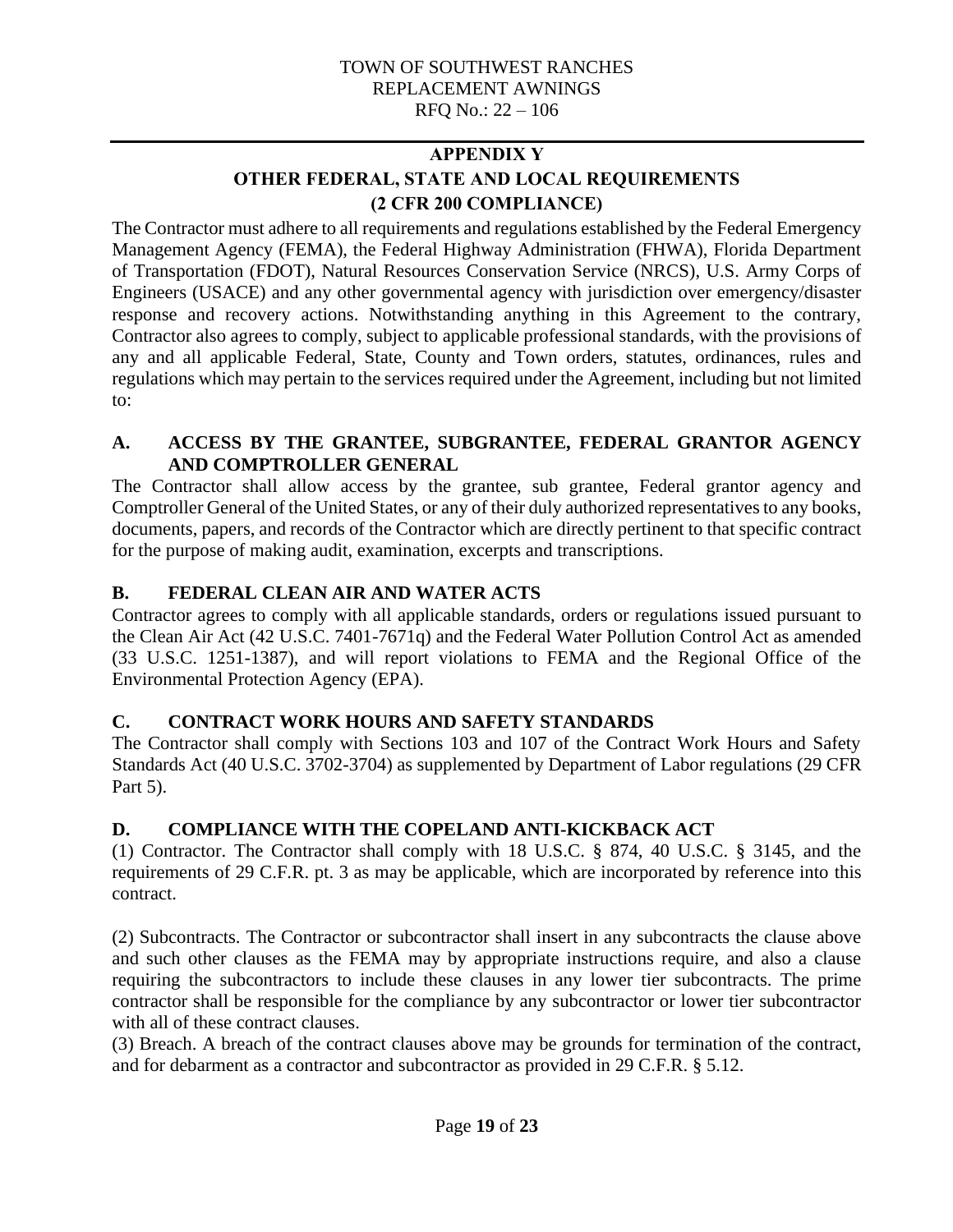## **APPENDIX Y OTHER FEDERAL, STATE AND LOCAL REQUIREMENTS (2 CFR 200 COMPLIANCE)**

<span id="page-18-0"></span>The Contractor must adhere to all requirements and regulations established by the Federal Emergency Management Agency (FEMA), the Federal Highway Administration (FHWA), Florida Department of Transportation (FDOT), Natural Resources Conservation Service (NRCS), U.S. Army Corps of Engineers (USACE) and any other governmental agency with jurisdiction over emergency/disaster response and recovery actions. Notwithstanding anything in this Agreement to the contrary, Contractor also agrees to comply, subject to applicable professional standards, with the provisions of any and all applicable Federal, State, County and Town orders, statutes, ordinances, rules and regulations which may pertain to the services required under the Agreement, including but not limited to:

#### **A. ACCESS BY THE GRANTEE, SUBGRANTEE, FEDERAL GRANTOR AGENCY AND COMPTROLLER GENERAL**

The Contractor shall allow access by the grantee, sub grantee, Federal grantor agency and Comptroller General of the United States, or any of their duly authorized representatives to any books, documents, papers, and records of the Contractor which are directly pertinent to that specific contract for the purpose of making audit, examination, excerpts and transcriptions.

## **B. FEDERAL CLEAN AIR AND WATER ACTS**

Contractor agrees to comply with all applicable standards, orders or regulations issued pursuant to the Clean Air Act (42 U.S.C. 7401-7671q) and the Federal Water Pollution Control Act as amended (33 U.S.C. 1251-1387), and will report violations to FEMA and the Regional Office of the Environmental Protection Agency (EPA).

## **C. CONTRACT WORK HOURS AND SAFETY STANDARDS**

The Contractor shall comply with Sections 103 and 107 of the Contract Work Hours and Safety Standards Act (40 U.S.C. 3702-3704) as supplemented by Department of Labor regulations (29 CFR Part 5).

## **D. COMPLIANCE WITH THE COPELAND ANTI-KICKBACK ACT**

(1) Contractor. The Contractor shall comply with 18 U.S.C. § 874, 40 U.S.C. § 3145, and the requirements of 29 C.F.R. pt. 3 as may be applicable, which are incorporated by reference into this contract.

(2) Subcontracts. The Contractor or subcontractor shall insert in any subcontracts the clause above and such other clauses as the FEMA may by appropriate instructions require, and also a clause requiring the subcontractors to include these clauses in any lower tier subcontracts. The prime contractor shall be responsible for the compliance by any subcontractor or lower tier subcontractor with all of these contract clauses.

(3) Breach. A breach of the contract clauses above may be grounds for termination of the contract, and for debarment as a contractor and subcontractor as provided in 29 C.F.R. § 5.12.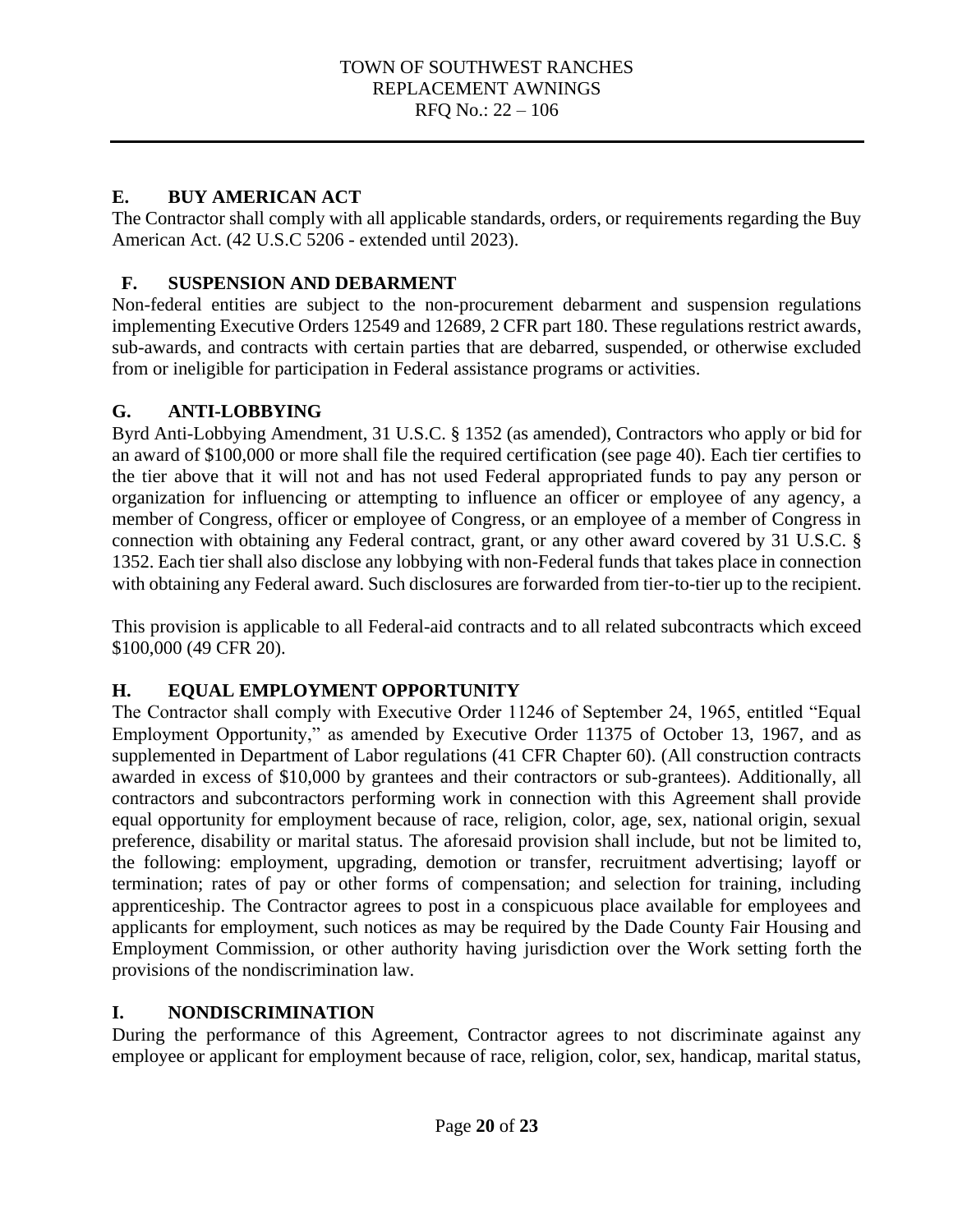#### **E. BUY AMERICAN ACT**

The Contractor shall comply with all applicable standards, orders, or requirements regarding the Buy American Act. (42 U.S.C 5206 - extended until 2023).

## **F. SUSPENSION AND DEBARMENT**

Non-federal entities are subject to the non-procurement debarment and suspension regulations implementing Executive Orders 12549 and 12689, 2 CFR part 180. These regulations restrict awards, sub-awards, and contracts with certain parties that are debarred, suspended, or otherwise excluded from or ineligible for participation in Federal assistance programs or activities.

#### **G. ANTI-LOBBYING**

Byrd Anti-Lobbying Amendment, 31 U.S.C. § 1352 (as amended), Contractors who apply or bid for an award of \$100,000 or more shall file the required certification (see page 40). Each tier certifies to the tier above that it will not and has not used Federal appropriated funds to pay any person or organization for influencing or attempting to influence an officer or employee of any agency, a member of Congress, officer or employee of Congress, or an employee of a member of Congress in connection with obtaining any Federal contract, grant, or any other award covered by 31 U.S.C. § 1352. Each tier shall also disclose any lobbying with non-Federal funds that takes place in connection with obtaining any Federal award. Such disclosures are forwarded from tier-to-tier up to the recipient.

This provision is applicable to all Federal-aid contracts and to all related subcontracts which exceed \$100,000 (49 CFR 20).

## **H. EQUAL EMPLOYMENT OPPORTUNITY**

The Contractor shall comply with Executive Order 11246 of September 24, 1965, entitled "Equal Employment Opportunity," as amended by Executive Order 11375 of October 13, 1967, and as supplemented in Department of Labor regulations (41 CFR Chapter 60). (All construction contracts awarded in excess of \$10,000 by grantees and their contractors or sub-grantees). Additionally, all contractors and subcontractors performing work in connection with this Agreement shall provide equal opportunity for employment because of race, religion, color, age, sex, national origin, sexual preference, disability or marital status. The aforesaid provision shall include, but not be limited to, the following: employment, upgrading, demotion or transfer, recruitment advertising; layoff or termination; rates of pay or other forms of compensation; and selection for training, including apprenticeship. The Contractor agrees to post in a conspicuous place available for employees and applicants for employment, such notices as may be required by the Dade County Fair Housing and Employment Commission, or other authority having jurisdiction over the Work setting forth the provisions of the nondiscrimination law.

#### **I. NONDISCRIMINATION**

During the performance of this Agreement, Contractor agrees to not discriminate against any employee or applicant for employment because of race, religion, color, sex, handicap, marital status,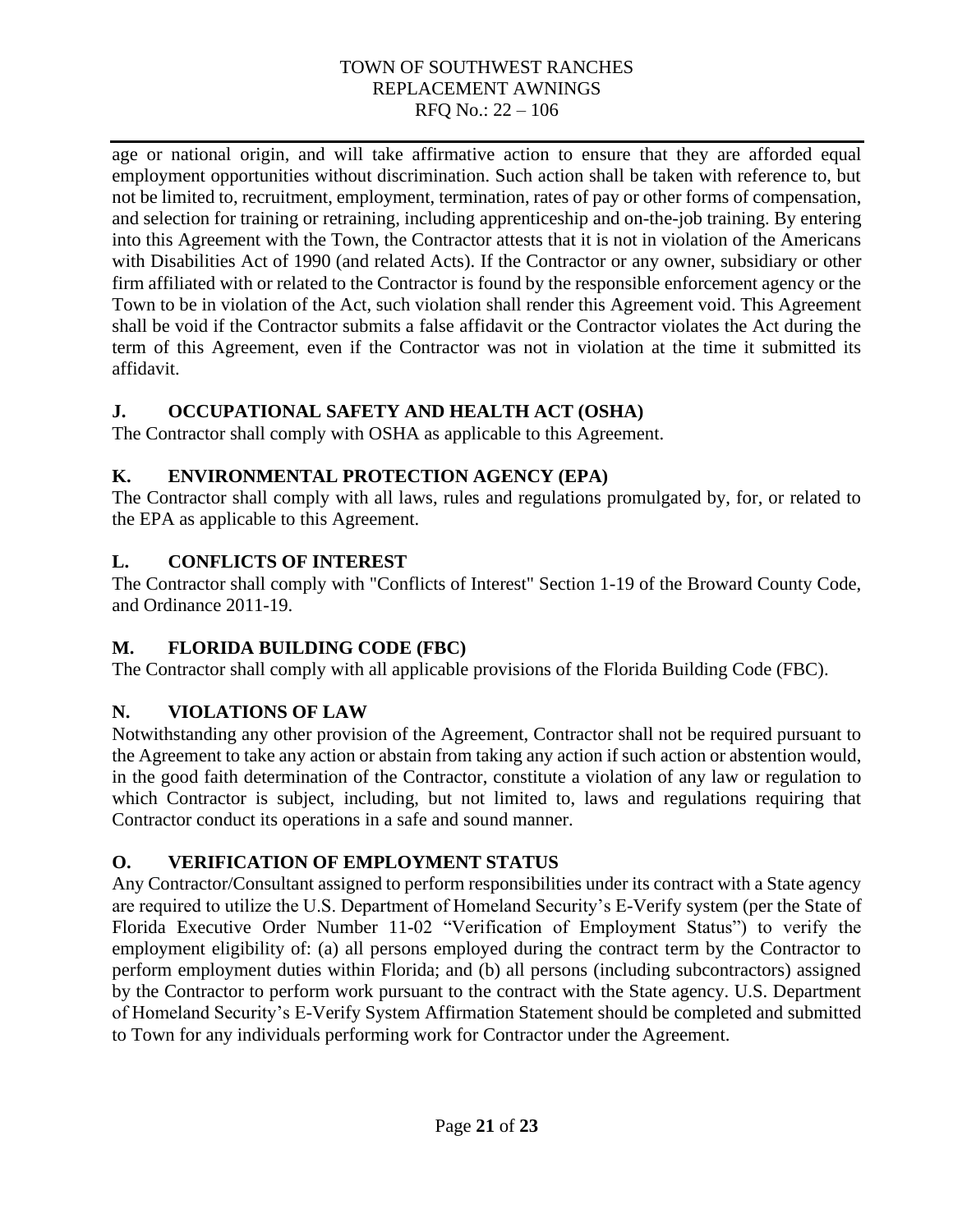age or national origin, and will take affirmative action to ensure that they are afforded equal employment opportunities without discrimination. Such action shall be taken with reference to, but not be limited to, recruitment, employment, termination, rates of pay or other forms of compensation, and selection for training or retraining, including apprenticeship and on-the-job training. By entering into this Agreement with the Town, the Contractor attests that it is not in violation of the Americans with Disabilities Act of 1990 (and related Acts). If the Contractor or any owner, subsidiary or other firm affiliated with or related to the Contractor is found by the responsible enforcement agency or the Town to be in violation of the Act, such violation shall render this Agreement void. This Agreement shall be void if the Contractor submits a false affidavit or the Contractor violates the Act during the term of this Agreement, even if the Contractor was not in violation at the time it submitted its affidavit.

## **J. OCCUPATIONAL SAFETY AND HEALTH ACT (OSHA)**

The Contractor shall comply with OSHA as applicable to this Agreement.

## **K. ENVIRONMENTAL PROTECTION AGENCY (EPA)**

The Contractor shall comply with all laws, rules and regulations promulgated by, for, or related to the EPA as applicable to this Agreement.

## **L. CONFLICTS OF INTEREST**

The Contractor shall comply with "Conflicts of Interest" Section 1-19 of the Broward County Code, and Ordinance 2011-19.

## **M. FLORIDA BUILDING CODE (FBC)**

The Contractor shall comply with all applicable provisions of the Florida Building Code (FBC).

## **N. VIOLATIONS OF LAW**

Notwithstanding any other provision of the Agreement, Contractor shall not be required pursuant to the Agreement to take any action or abstain from taking any action if such action or abstention would, in the good faith determination of the Contractor, constitute a violation of any law or regulation to which Contractor is subject, including, but not limited to, laws and regulations requiring that Contractor conduct its operations in a safe and sound manner.

## **O. VERIFICATION OF EMPLOYMENT STATUS**

Any Contractor/Consultant assigned to perform responsibilities under its contract with a State agency are required to utilize the U.S. Department of Homeland Security's E-Verify system (per the State of Florida Executive Order Number 11-02 "Verification of Employment Status") to verify the employment eligibility of: (a) all persons employed during the contract term by the Contractor to perform employment duties within Florida; and (b) all persons (including subcontractors) assigned by the Contractor to perform work pursuant to the contract with the State agency. U.S. Department of Homeland Security's E-Verify System Affirmation Statement should be completed and submitted to Town for any individuals performing work for Contractor under the Agreement.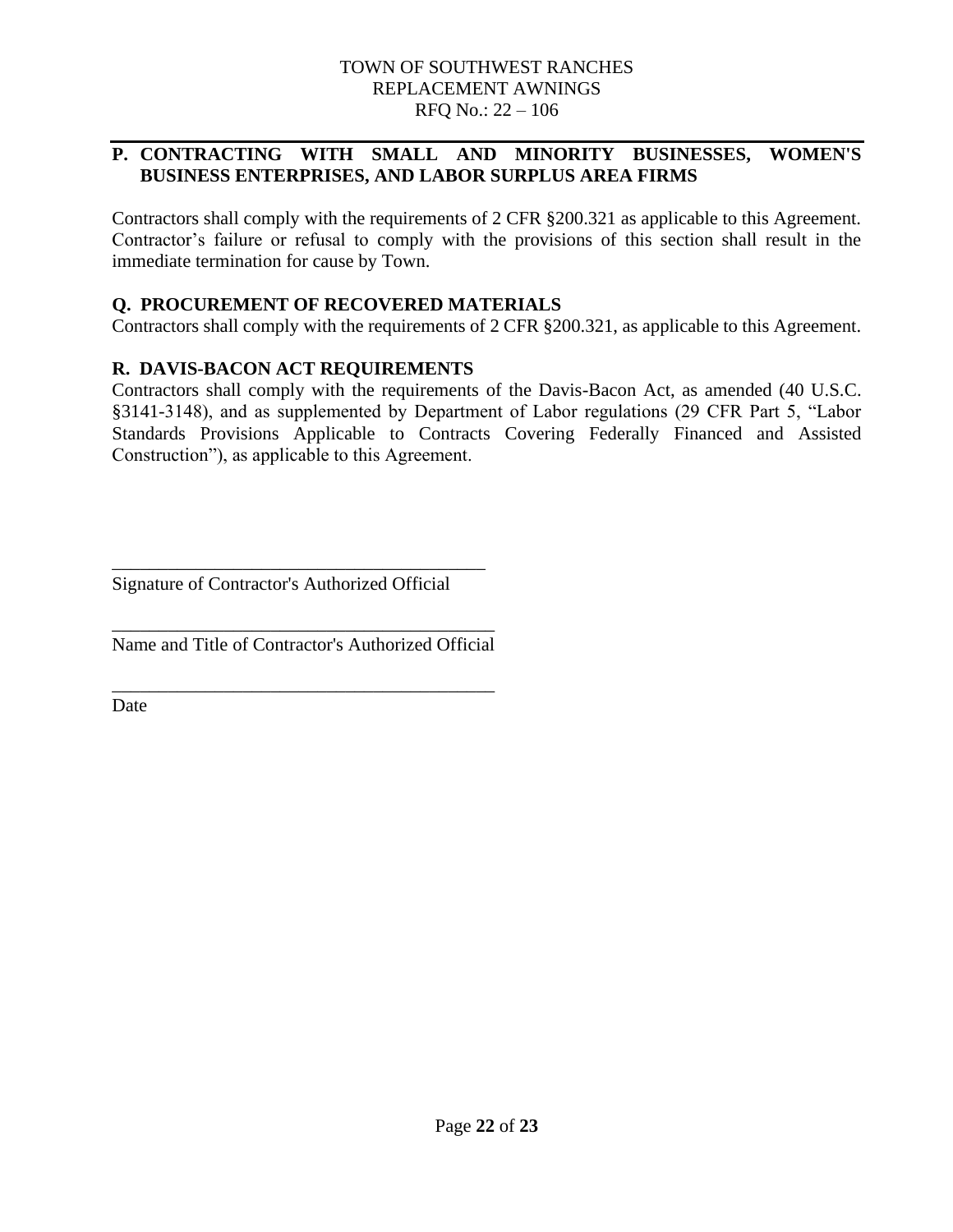#### **P. CONTRACTING WITH SMALL AND MINORITY BUSINESSES, WOMEN'S BUSINESS ENTERPRISES, AND LABOR SURPLUS AREA FIRMS**

Contractors shall comply with the requirements of 2 CFR §200.321 as applicable to this Agreement. Contractor's failure or refusal to comply with the provisions of this section shall result in the immediate termination for cause by Town.

#### **Q. PROCUREMENT OF RECOVERED MATERIALS**

Contractors shall comply with the requirements of 2 CFR §200.321, as applicable to this Agreement.

#### **R. DAVIS-BACON ACT REQUIREMENTS**

Contractors shall comply with the requirements of the Davis-Bacon Act, as amended (40 U.S.C. §3141-3148), and as supplemented by Department of Labor regulations (29 CFR Part 5, "Labor Standards Provisions Applicable to Contracts Covering Federally Financed and Assisted Construction"), as applicable to this Agreement.

Signature of Contractor's Authorized Official

\_\_\_\_\_\_\_\_\_\_\_\_\_\_\_\_\_\_\_\_\_\_\_\_\_\_\_\_\_\_\_\_\_\_\_\_\_\_\_\_

\_\_\_\_\_\_\_\_\_\_\_\_\_\_\_\_\_\_\_\_\_\_\_\_\_\_\_\_\_\_\_\_\_\_\_\_\_\_\_\_\_ Name and Title of Contractor's Authorized Official

\_\_\_\_\_\_\_\_\_\_\_\_\_\_\_\_\_\_\_\_\_\_\_\_\_\_\_\_\_\_\_\_\_\_\_\_\_\_\_\_\_

**Date**